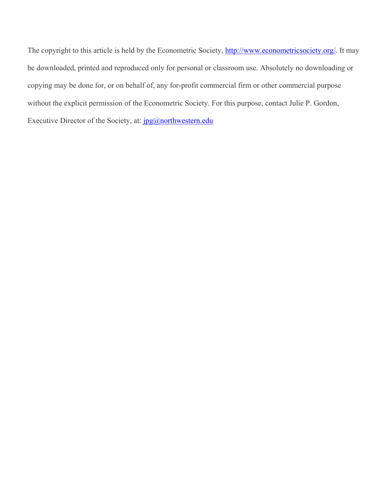The copyright to this article is held by the Econometric Society, http://www.econometricsociety.org/. It may be downloaded, printed and reproduced only for personal or classroom use. Absolutely no downloading or copying may be done for, or on behalf of, any for-profit commercial firm or other commercial purpose without the explicit permission of the Econometric Society. For this purpose, contact Julie P. Gordon, Executive Director of the Society, at:  $jpg@northwestern.edu$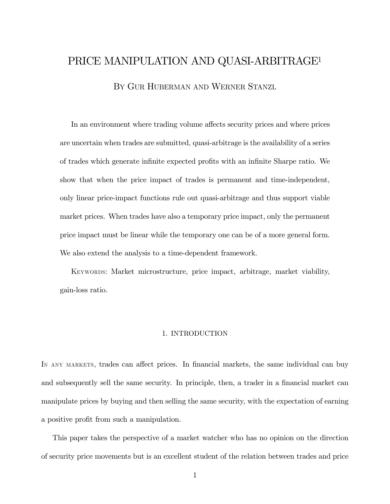# PRICE MANIPULATION AND QUASI-ARBITRAGE1 BY GUR HUBERMAN AND WERNER STANZL

In an environment where trading volume affects security prices and where prices are uncertain when trades are submitted, quasi-arbitrage is the availability of a series of trades which generate infinite expected profits with an infinite Sharpe ratio. We show that when the price impact of trades is permanent and time-independent, only linear price-impact functions rule out quasi-arbitrage and thus support viable market prices. When trades have also a temporary price impact, only the permanent price impact must be linear while the temporary one can be of a more general form. We also extend the analysis to a time-dependent framework.

KEYWORDS: Market microstructure, price impact, arbitrage, market viability, gain-loss ratio.

# 1. INTRODUCTION

IN ANY MARKETS, trades can affect prices. In financial markets, the same individual can buy and subsequently sell the same security. In principle, then, a trader in a financial market can manipulate prices by buying and then selling the same security, with the expectation of earning a positive profit from such a manipulation.

This paper takes the perspective of a market watcher who has no opinion on the direction of security price movements but is an excellent student of the relation between trades and price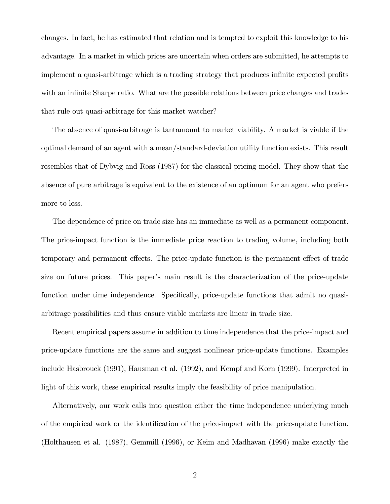changes. In fact, he has estimated that relation and is tempted to exploit this knowledge to his advantage. In a market in which prices are uncertain when orders are submitted, he attempts to implement a quasi-arbitrage which is a trading strategy that produces infinite expected profits with an infinite Sharpe ratio. What are the possible relations between price changes and trades that rule out quasi-arbitrage for this market watcher?

The absence of quasi-arbitrage is tantamount to market viability. A market is viable if the optimal demand of an agent with a mean/standard-deviation utility function exists. This result resembles that of Dybvig and Ross (1987) for the classical pricing model. They show that the absence of pure arbitrage is equivalent to the existence of an optimum for an agent who prefers more to less.

The dependence of price on trade size has an immediate as well as a permanent component. The price-impact function is the immediate price reaction to trading volume, including both temporary and permanent effects. The price-update function is the permanent effect of trade size on future prices. This paper's main result is the characterization of the price-update function under time independence. Specifically, price-update functions that admit no quasiarbitrage possibilities and thus ensure viable markets are linear in trade size.

Recent empirical papers assume in addition to time independence that the price-impact and price-update functions are the same and suggest nonlinear price-update functions. Examples include Hasbrouck (1991), Hausman et al. (1992), and Kempf and Korn (1999). Interpreted in light of this work, these empirical results imply the feasibility of price manipulation.

Alternatively, our work calls into question either the time independence underlying much of the empirical work or the identification of the price-impact with the price-update function. (Holthausen et al. (1987), Gemmill (1996), or Keim and Madhavan (1996) make exactly the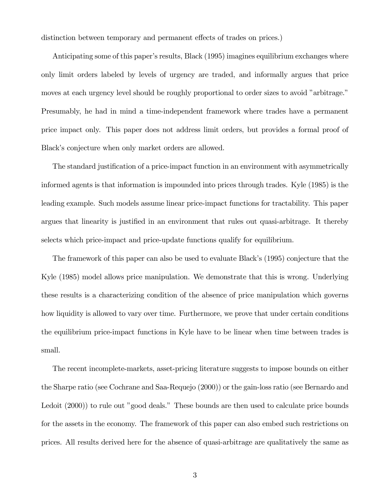distinction between temporary and permanent effects of trades on prices.)

Anticipating some of this paper's results, Black (1995) imagines equilibrium exchanges where only limit orders labeled by levels of urgency are traded, and informally argues that price moves at each urgency level should be roughly proportional to order sizes to avoid "arbitrage." Presumably, he had in mind a time-independent framework where trades have a permanent price impact only. This paper does not address limit orders, but provides a formal proof of Black's conjecture when only market orders are allowed.

The standard justification of a price-impact function in an environment with asymmetrically informed agents is that information is impounded into prices through trades. Kyle (1985) is the leading example. Such models assume linear price-impact functions for tractability. This paper argues that linearity is justified in an environment that rules out quasi-arbitrage. It thereby selects which price-impact and price-update functions qualify for equilibrium.

The framework of this paper can also be used to evaluate Black's (1995) conjecture that the Kyle (1985) model allows price manipulation. We demonstrate that this is wrong. Underlying these results is a characterizing condition of the absence of price manipulation which governs how liquidity is allowed to vary over time. Furthermore, we prove that under certain conditions the equilibrium price-impact functions in Kyle have to be linear when time between trades is small.

The recent incomplete-markets, asset-pricing literature suggests to impose bounds on either the Sharpe ratio (see Cochrane and Saa-Requejo (2000)) or the gain-loss ratio (see Bernardo and Ledoit (2000)) to rule out "good deals." These bounds are then used to calculate price bounds for the assets in the economy. The framework of this paper can also embed such restrictions on prices. All results derived here for the absence of quasi-arbitrage are qualitatively the same as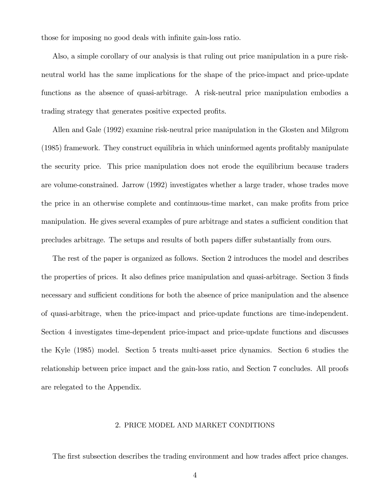those for imposing no good deals with infinite gain-loss ratio.

Also, a simple corollary of our analysis is that ruling out price manipulation in a pure riskneutral world has the same implications for the shape of the price-impact and price-update functions as the absence of quasi-arbitrage. A risk-neutral price manipulation embodies a trading strategy that generates positive expected profits.

Allen and Gale (1992) examine risk-neutral price manipulation in the Glosten and Milgrom (1985) framework. They construct equilibria in which uninformed agents profitably manipulate the security price. This price manipulation does not erode the equilibrium because traders are volume-constrained. Jarrow (1992) investigates whether a large trader, whose trades move the price in an otherwise complete and continuous-time market, can make profits from price manipulation. He gives several examples of pure arbitrage and states a sufficient condition that precludes arbitrage. The setups and results of both papers differ substantially from ours.

The rest of the paper is organized as follows. Section 2 introduces the model and describes the properties of prices. It also defines price manipulation and quasi-arbitrage. Section 3 finds necessary and sufficient conditions for both the absence of price manipulation and the absence of quasi-arbitrage, when the price-impact and price-update functions are time-independent. Section 4 investigates time-dependent price-impact and price-update functions and discusses the Kyle (1985) model. Section 5 treats multi-asset price dynamics. Section 6 studies the relationship between price impact and the gain-loss ratio, and Section 7 concludes. All proofs are relegated to the Appendix.

# 2. PRICE MODEL AND MARKET CONDITIONS

The first subsection describes the trading environment and how trades affect price changes.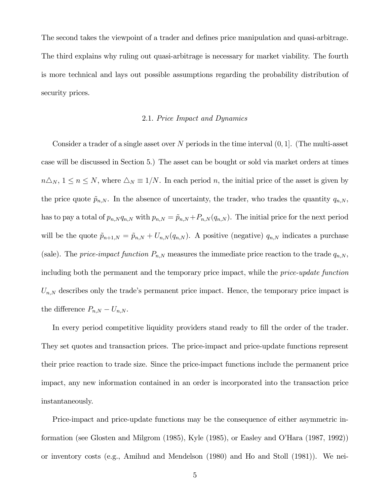The second takes the viewpoint of a trader and defines price manipulation and quasi-arbitrage. The third explains why ruling out quasi-arbitrage is necessary for market viability. The fourth is more technical and lays out possible assumptions regarding the probability distribution of security prices.

# 2.1. Price Impact and Dynamics

Consider a trader of a single asset over N periods in the time interval  $(0, 1]$ . (The multi-asset case will be discussed in Section 5.) The asset can be bought or sold via market orders at times  $n\Delta_N$ ,  $1 \leq n \leq N$ , where  $\Delta_N \equiv 1/N$ . In each period n, the initial price of the asset is given by the price quote  $\tilde{p}_{n,N}$ . In the absence of uncertainty, the trader, who trades the quantity  $q_{n,N}$ , has to pay a total of  $p_{n,N} q_{n,N}$  with  $p_{n,N} = \tilde{p}_{n,N} + P_{n,N} (q_{n,N})$ . The initial price for the next period will be the quote  $\tilde{p}_{n+1,N} = \tilde{p}_{n,N} + U_{n,N}(q_{n,N})$ . A positive (negative)  $q_{n,N}$  indicates a purchase (sale). The price-impact function  $P_{n,N}$  measures the immediate price reaction to the trade  $q_{n,N}$ , including both the permanent and the temporary price impact, while the price-update function  $U_{n,N}$  describes only the trade's permanent price impact. Hence, the temporary price impact is the difference  $P_{n,N} - U_{n,N}$ .

In every period competitive liquidity providers stand ready to fill the order of the trader. They set quotes and transaction prices. The price-impact and price-update functions represent their price reaction to trade size. Since the price-impact functions include the permanent price impact, any new information contained in an order is incorporated into the transaction price instantaneously.

Price-impact and price-update functions may be the consequence of either asymmetric information (see Glosten and Milgrom (1985), Kyle (1985), or Easley and OíHara (1987, 1992)) or inventory costs (e.g., Amihud and Mendelson (1980) and Ho and Stoll (1981)). We nei-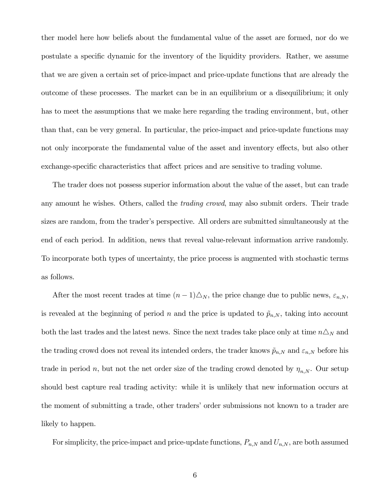ther model here how beliefs about the fundamental value of the asset are formed, nor do we postulate a specific dynamic for the inventory of the liquidity providers. Rather, we assume that we are given a certain set of price-impact and price-update functions that are already the outcome of these processes. The market can be in an equilibrium or a disequilibrium; it only has to meet the assumptions that we make here regarding the trading environment, but, other than that, can be very general. In particular, the price-impact and price-update functions may not only incorporate the fundamental value of the asset and inventory effects, but also other exchange-specific characteristics that affect prices and are sensitive to trading volume.

The trader does not possess superior information about the value of the asset, but can trade any amount he wishes. Others, called the *trading crowd*, may also submit orders. Their trade sizes are random, from the trader's perspective. All orders are submitted simultaneously at the end of each period. In addition, news that reveal value-relevant information arrive randomly. To incorporate both types of uncertainty, the price process is augmented with stochastic terms as follows.

After the most recent trades at time  $(n-1)\Delta_N$ , the price change due to public news,  $\varepsilon_{n,N}$ , is revealed at the beginning of period n and the price is updated to  $\tilde{p}_{n,N}$ , taking into account both the last trades and the latest news. Since the next trades take place only at time  $n\Delta_N$  and the trading crowd does not reveal its intended orders, the trader knows  $\tilde{p}_{n,N}$  and  $\varepsilon_{n,N}$  before his trade in period n, but not the net order size of the trading crowd denoted by  $\eta_{n,N}$ . Our setup should best capture real trading activity: while it is unlikely that new information occurs at the moment of submitting a trade, other traders' order submissions not known to a trader are likely to happen.

For simplicity, the price-impact and price-update functions,  $P_{n,N}$  and  $U_{n,N}$ , are both assumed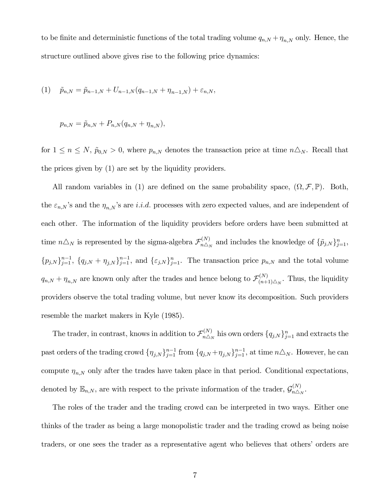to be finite and deterministic functions of the total trading volume  $q_{n,N} + \eta_{n,N}$  only. Hence, the structure outlined above gives rise to the following price dynamics:

(1) 
$$
\tilde{p}_{n,N} = \tilde{p}_{n-1,N} + U_{n-1,N}(q_{n-1,N} + \eta_{n-1,N}) + \varepsilon_{n,N},
$$

$$
p_{n,N} = \tilde{p}_{n,N} + P_{n,N}(q_{n,N} + \eta_{n,N}),
$$

for  $1 \leq n \leq N$ ,  $\tilde{p}_{0,N} > 0$ , where  $p_{n,N}$  denotes the transaction price at time  $n\Delta_N$ . Recall that the prices given by (1) are set by the liquidity providers.

All random variables in (1) are defined on the same probability space,  $(\Omega, \mathcal{F}, \mathbb{P})$ . Both, the  $\varepsilon_{n,N}$ 's and the  $\eta_{n,N}$ 's are *i.i.d.* processes with zero expected values, and are independent of each other. The information of the liquidity providers before orders have been submitted at time  $n\Delta_N$  is represented by the sigma-algebra  $\mathcal{F}_{n\Delta_N}^{(N)}$  and includes the knowledge of  $\{\tilde{p}_{j,N}\}_{j=1}^n$ ,  $\{p_{j,N}\}_{j=1}^{n-1}$ ,  $\{q_{j,N} + \eta_{j,N}\}_{j=1}^{n-1}$ , and  $\{\varepsilon_{j,N}\}_{j=1}^n$ . The transaction price  $p_{n,N}$  and the total volume  $q_{n,N} + \eta_{n,N}$  are known only after the trades and hence belong to  $\mathcal{F}_{(n+1)\triangle_N}^{(N)}$ . Thus, the liquidity providers observe the total trading volume, but never know its decomposition. Such providers resemble the market makers in Kyle (1985).

The trader, in contrast, knows in addition to  $\mathcal{F}_{n\triangle_N}^{(N)}$  his own orders  $\{q_{j,N}\}_{j=1}^n$  and extracts the past orders of the trading crowd  $\{\eta_{j,N}\}_{j=1}^{n-1}$  from  $\{q_{j,N}+\eta_{j,N}\}_{j=1}^{n-1}$ , at time  $n\Delta_N$ . However, he can compute  $\eta_{n,N}$  only after the trades have taken place in that period. Conditional expectations, denoted by  $\mathbb{E}_{n,N}$ , are with respect to the private information of the trader,  $\mathcal{G}_{n\triangle_N}^{(N)}$ .

The roles of the trader and the trading crowd can be interpreted in two ways. Either one thinks of the trader as being a large monopolistic trader and the trading crowd as being noise traders, or one sees the trader as a representative agent who believes that others' orders are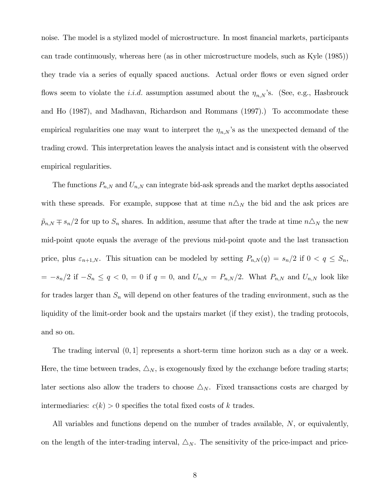noise. The model is a stylized model of microstructure. In most financial markets, participants can trade continuously, whereas here (as in other microstructure models, such as Kyle (1985)) they trade via a series of equally spaced auctions. Actual order flows or even signed order flows seem to violate the *i.i.d.* assumption assumed about the  $\eta_{n,N}$ 's. (See, e.g., Hasbrouck and Ho (1987), and Madhavan, Richardson and Rommans (1997).) To accommodate these empirical regularities one may want to interpret the  $\eta_{n,N}$ 's as the unexpected demand of the trading crowd. This interpretation leaves the analysis intact and is consistent with the observed empirical regularities.

The functions  $P_{n,N}$  and  $U_{n,N}$  can integrate bid-ask spreads and the market depths associated with these spreads. For example, suppose that at time  $n\Delta_N$  the bid and the ask prices are  $\tilde{p}_{n,N} \mp s_n/2$  for up to  $S_n$  shares. In addition, assume that after the trade at time  $n\Delta_N$  the new mid-point quote equals the average of the previous mid-point quote and the last transaction price, plus  $\varepsilon_{n+1,N}$ . This situation can be modeled by setting  $P_{n,N}(q) = s_n/2$  if  $0 < q \leq S_n$ ,  $= -s_n/2$  if  $-S_n \le q < 0$ ,  $= 0$  if  $q = 0$ , and  $U_{n,N} = P_{n,N}/2$ . What  $P_{n,N}$  and  $U_{n,N}$  look like for trades larger than  $S_n$  will depend on other features of the trading environment, such as the liquidity of the limit-order book and the upstairs market (if they exist), the trading protocols, and so on.

The trading interval (0, 1] represents a short-term time horizon such as a day or a week. Here, the time between trades,  $\Delta_N$ , is exogenously fixed by the exchange before trading starts; later sections also allow the traders to choose  $\triangle_N$ . Fixed transactions costs are charged by intermediaries:  $c(k) > 0$  specifies the total fixed costs of k trades.

All variables and functions depend on the number of trades available, N, or equivalently, on the length of the inter-trading interval,  $\Delta_N$ . The sensitivity of the price-impact and price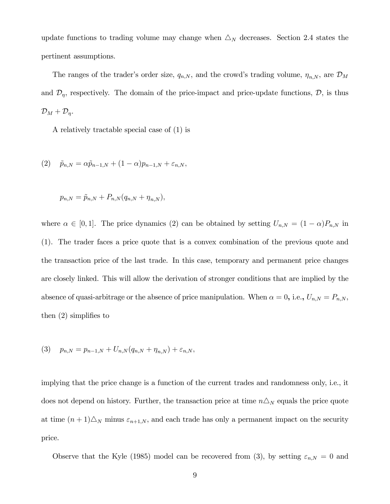update functions to trading volume may change when  $\triangle_N$  decreases. Section 2.4 states the pertinent assumptions.

The ranges of the trader's order size,  $q_{n,N}$ , and the crowd's trading volume,  $\eta_{n,N}$ , are  $\mathcal{D}_M$ and  $\mathcal{D}_{\eta}$ , respectively. The domain of the price-impact and price-update functions,  $\mathcal{D}_{\eta}$ , is thus  $\mathcal{D}_M + \mathcal{D}_\eta$ .

A relatively tractable special case of (1) is

(2) 
$$
\tilde{p}_{n,N} = \alpha \tilde{p}_{n-1,N} + (1 - \alpha) p_{n-1,N} + \varepsilon_{n,N},
$$

$$
p_{n,N} = \tilde{p}_{n,N} + P_{n,N}(q_{n,N} + \eta_{n,N}),
$$

where  $\alpha \in [0,1]$ . The price dynamics (2) can be obtained by setting  $U_{n,N} = (1-\alpha)P_{n,N}$  in (1). The trader faces a price quote that is a convex combination of the previous quote and the transaction price of the last trade. In this case, temporary and permanent price changes are closely linked. This will allow the derivation of stronger conditions that are implied by the absence of quasi-arbitrage or the absence of price manipulation. When  $\alpha = 0$ , i.e.,  $U_{n,N} = P_{n,N}$ , then (2) simplifies to

$$
(3) \quad p_{n,N} = p_{n-1,N} + U_{n,N}(q_{n,N} + \eta_{n,N}) + \varepsilon_{n,N},
$$

implying that the price change is a function of the current trades and randomness only, i.e., it does not depend on history. Further, the transaction price at time  $n\Delta_N$  equals the price quote at time  $(n+1)\Delta_N$  minus  $\varepsilon_{n+1,N}$ , and each trade has only a permanent impact on the security price.

Observe that the Kyle (1985) model can be recovered from (3), by setting  $\varepsilon_{n,N} = 0$  and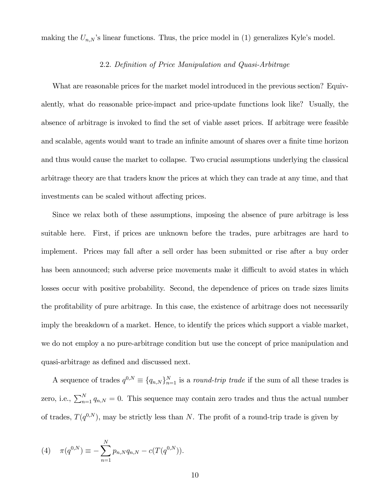making the  $U_{n,N}$ 's linear functions. Thus, the price model in (1) generalizes Kyle's model.

# 2.2. Definition of Price Manipulation and Quasi-Arbitrage

What are reasonable prices for the market model introduced in the previous section? Equivalently, what do reasonable price-impact and price-update functions look like? Usually, the absence of arbitrage is invoked to find the set of viable asset prices. If arbitrage were feasible and scalable, agents would want to trade an infinite amount of shares over a finite time horizon and thus would cause the market to collapse. Two crucial assumptions underlying the classical arbitrage theory are that traders know the prices at which they can trade at any time, and that investments can be scaled without affecting prices.

Since we relax both of these assumptions, imposing the absence of pure arbitrage is less suitable here. First, if prices are unknown before the trades, pure arbitrages are hard to implement. Prices may fall after a sell order has been submitted or rise after a buy order has been announced; such adverse price movements make it difficult to avoid states in which losses occur with positive probability. Second, the dependence of prices on trade sizes limits the profitability of pure arbitrage. In this case, the existence of arbitrage does not necessarily imply the breakdown of a market. Hence, to identify the prices which support a viable market, we do not employ a no pure-arbitrage condition but use the concept of price manipulation and quasi-arbitrage as defined and discussed next.

A sequence of trades  $q^{0,N} \equiv \{q_{n,N}\}_{n=1}^N$  is a *round-trip trade* if the sum of all these trades is zero, i.e.,  $\sum_{n=1}^{N} q_{n,N} = 0$ . This sequence may contain zero trades and thus the actual number of trades,  $T(q^{0,N})$ , may be strictly less than N. The profit of a round-trip trade is given by

(4) 
$$
\pi(q^{0,N}) \equiv -\sum_{n=1}^{N} p_{n,N} q_{n,N} - c(T(q^{0,N})).
$$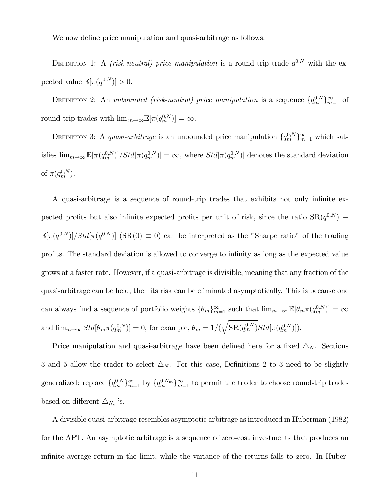We now define price manipulation and quasi-arbitrage as follows.

DEFINITION 1: A *(risk-neutral) price manipulation* is a round-trip trade  $q^{0,N}$  with the expected value  $\mathbb{E}[\pi(q^{0,N})] > 0.$ 

DEFINITION 2: An unbounded (risk-neutral) price manipulation is a sequence  $\{q_m^{0,N}\}_{m=1}^{\infty}$  of round-trip trades with  $\lim_{m\to\infty} \mathbb{E}[\pi(q_m^{0,N})] = \infty$ .

DEFINITION 3: A *quasi-arbitrage* is an unbounded price manipulation  $\{q_m^{0,N}\}_{m=1}^{\infty}$  which satisfies  $\lim_{m\to\infty} \mathbb{E}[\pi(q_m^{0,N})]/Std[\pi(q_m^{0,N})] = \infty$ , where  $Std[\pi(q_m^{0,N})]$  denotes the standard deviation of  $\pi(q_m^{0,N})$ .

A quasi-arbitrage is a sequence of round-trip trades that exhibits not only infinite expected profits but also infinite expected profits per unit of risk, since the ratio  $SR(q^{0,N}) \equiv$  $\mathbb{E}[\pi(q^{0,N})]/Std[\pi(q^{0,N})]$  (SR(0)  $\equiv$  0) can be interpreted as the "Sharpe ratio" of the trading profits. The standard deviation is allowed to converge to infinity as long as the expected value grows at a faster rate. However, if a quasi-arbitrage is divisible, meaning that any fraction of the quasi-arbitrage can be held, then its risk can be eliminated asymptotically. This is because one can always find a sequence of portfolio weights  $\{\theta_m\}_{m=1}^{\infty}$  such that  $\lim_{m\to\infty} \mathbb{E}[\theta_m \pi(q_m^{0,N})] = \infty$ and  $\lim_{m\to\infty} Std[\theta_m \pi(q_m^{0,N})] = 0$ , for example,  $\theta_m = 1/($  $\sqrt{ }$  $\mathrm{SR}(q_m^{0,N})Std[\pi(q_m^{0,N})]).$ 

Price manipulation and quasi-arbitrage have been defined here for a fixed  $\Delta_N$ . Sections 3 and 5 allow the trader to select  $\Delta_N$ . For this case, Definitions 2 to 3 need to be slightly generalized: replace  ${q_m^{0,N}}_{m=1}^{\infty}$  by  ${q_m^{0,N_m}}_{m=1}^{\infty}$  to permit the trader to choose round-trip trades based on different  $\triangle_{N_m}$ 's.

A divisible quasi-arbitrage resembles asymptotic arbitrage as introduced in Huberman (1982) for the APT. An asymptotic arbitrage is a sequence of zero-cost investments that produces an infinite average return in the limit, while the variance of the returns falls to zero. In Huber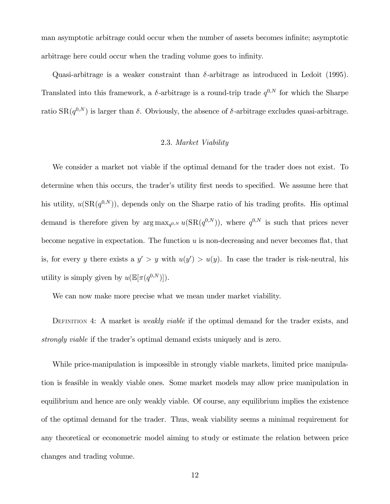man asymptotic arbitrage could occur when the number of assets becomes infinite; asymptotic arbitrage here could occur when the trading volume goes to infinity.

Quasi-arbitrage is a weaker constraint than δ-arbitrage as introduced in Ledoit (1995). Translated into this framework, a  $\delta$ -arbitrage is a round-trip trade  $q^{0,N}$  for which the Sharpe ratio  $\text{SR}(q^{0,N})$  is larger than  $\delta$ . Obviously, the absence of  $\delta$ -arbitrage excludes quasi-arbitrage.

# 2.3. Market Viability

We consider a market not viable if the optimal demand for the trader does not exist. To determine when this occurs, the trader's utility first needs to specified. We assume here that his utility,  $u(SR(q^{0,N}))$ , depends only on the Sharpe ratio of his trading profits. His optimal demand is therefore given by  $\arg \max_{q^{0,N}} u(SR(q^{0,N}))$ , where  $q^{0,N}$  is such that prices never become negative in expectation. The function  $u$  is non-decreasing and never becomes flat, that is, for every y there exists a  $y' > y$  with  $u(y') > u(y)$ . In case the trader is risk-neutral, his utility is simply given by  $u(\mathbb{E}[\pi(q^{0,N})]).$ 

We can now make more precise what we mean under market viability.

DEFINITION 4: A market is *weakly viable* if the optimal demand for the trader exists, and strongly viable if the trader's optimal demand exists uniquely and is zero.

While price-manipulation is impossible in strongly viable markets, limited price manipulation is feasible in weakly viable ones. Some market models may allow price manipulation in equilibrium and hence are only weakly viable. Of course, any equilibrium implies the existence of the optimal demand for the trader. Thus, weak viability seems a minimal requirement for any theoretical or econometric model aiming to study or estimate the relation between price changes and trading volume.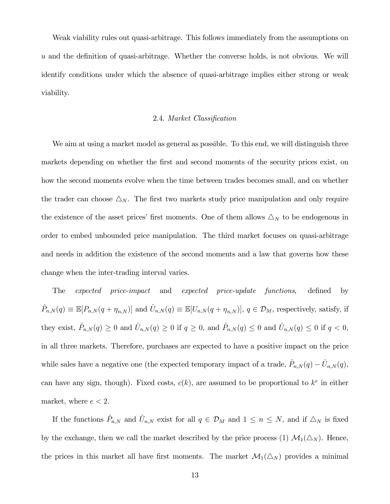Weak viability rules out quasi-arbitrage. This follows immediately from the assumptions on u and the definition of quasi-arbitrage. Whether the converse holds, is not obvious. We will identify conditions under which the absence of quasi-arbitrage implies either strong or weak viability.

# 2.4. Market Classification

We aim at using a market model as general as possible. To this end, we will distinguish three markets depending on whether the first and second moments of the security prices exist, on how the second moments evolve when the time between trades becomes small, and on whether the trader can choose  $\Delta_N$ . The first two markets study price manipulation and only require the existence of the asset prices' first moments. One of them allows  $\Delta_N$  to be endogenous in order to embed unbounded price manipulation. The third market focuses on quasi-arbitrage and needs in addition the existence of the second moments and a law that governs how these change when the inter-trading interval varies.

The expected price-impact and expected price-update functions, defined by  $\hat{P}_{n,N}(q) \equiv \mathbb{E}[P_{n,N}(q + \eta_{n,N})]$  and  $\hat{U}_{n,N}(q) \equiv \mathbb{E}[U_{n,N}(q + \eta_{n,N})], q \in \mathcal{D}_M$ , respectively, satisfy, if they exist,  $\hat{P}_{n,N}(q) \geq 0$  and  $\hat{U}_{n,N}(q) \geq 0$  if  $q \geq 0$ , and  $\hat{P}_{n,N}(q) \leq 0$  and  $\hat{U}_{n,N}(q) \leq 0$  if  $q < 0$ , in all three markets. Therefore, purchases are expected to have a positive impact on the price while sales have a negative one (the expected temporary impact of a trade,  $\hat{P}_{n,N}(q) - \hat{U}_{n,N}(q)$ , can have any sign, though). Fixed costs,  $c(k)$ , are assumed to be proportional to  $k^e$  in either market, where  $e < 2$ .

If the functions  $\hat{P}_{n,N}$  and  $\hat{U}_{n,N}$  exist for all  $q \in \mathcal{D}_M$  and  $1 \leq n \leq N$ , and if  $\triangle_N$  is fixed by the exchange, then we call the market described by the price process (1)  $\mathcal{M}_1(\Delta_N)$ . Hence, the prices in this market all have first moments. The market  $\mathcal{M}_1(\Delta_N)$  provides a minimal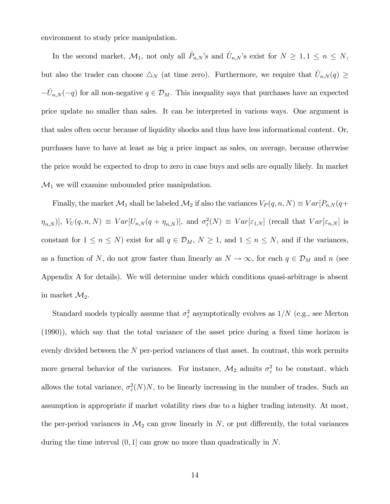environment to study price manipulation.

In the second market,  $\mathcal{M}_1$ , not only all  $\hat{P}_{n,N}$ 's and  $\hat{U}_{n,N}$ 's exist for  $N \geq 1, 1 \leq n \leq N$ , but also the trader can choose  $\Delta_N$  (at time zero). Furthermore, we require that  $\hat{U}_{n,N}(q) \geq$  $-\hat{U}_{n,N}(-q)$  for all non-negative  $q \in \mathcal{D}_M$ . This inequality says that purchases have an expected price update no smaller than sales. It can be interpreted in various ways. One argument is that sales often occur because of liquidity shocks and thus have less informational content. Or, purchases have to have at least as big a price impact as sales, on average, because otherwise the price would be expected to drop to zero in case buys and sells are equally likely. In market  $\mathcal{M}_1$  we will examine unbounded price manipulation.

Finally, the market  $\mathcal{M}_1$  shall be labeled  $\mathcal{M}_2$  if also the variances  $V_P(q, n, N) \equiv Var[P_{n,N}(q+1)]$  $[\eta_{n,N}]$ ,  $V_U(q,n,N) \equiv Var[U_{n,N}(q+\eta_{n,N})]$ , and  $\sigma_{\varepsilon}^2(N) \equiv Var[\varepsilon_{1,N}]$  (recall that  $Var[\varepsilon_{n,N}]$  is constant for  $1 \le n \le N$ ) exist for all  $q \in \mathcal{D}_M$ ,  $N \ge 1$ , and  $1 \le n \le N$ , and if the variances, as a function of N, do not grow faster than linearly as  $N \to \infty$ , for each  $q \in \mathcal{D}_M$  and n (see Appendix A for details). We will determine under which conditions quasi-arbitrage is absent in market  $\mathcal{M}_2$ .

Standard models typically assume that  $\sigma_{\varepsilon}^2$  asymptotically evolves as  $1/N$  (e.g., see Merton (1990)), which say that the total variance of the asset price during a fixed time horizon is evenly divided between the  $N$  per-period variances of that asset. In contrast, this work permits more general behavior of the variances. For instance,  $\mathcal{M}_2$  admits  $\sigma_{\varepsilon}^2$  to be constant, which allows the total variance,  $\sigma_{\varepsilon}^2(N)N$ , to be linearly increasing in the number of trades. Such an assumption is appropriate if market volatility rises due to a higher trading intensity. At most, the per-period variances in  $\mathcal{M}_2$  can grow linearly in  $N$ , or put differently, the total variances during the time interval  $(0, 1]$  can grow no more than quadratically in N.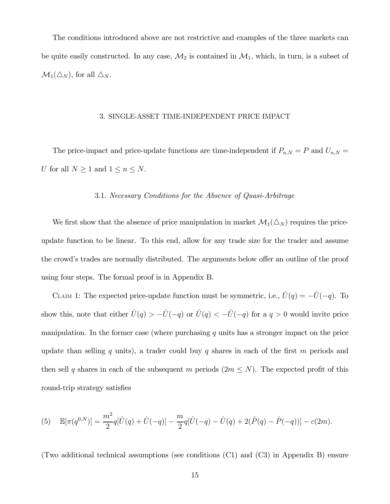The conditions introduced above are not restrictive and examples of the three markets can be quite easily constructed. In any case,  $\mathcal{M}_2$  is contained in  $\mathcal{M}_1$ , which, in turn, is a subset of  $\mathcal{M}_1(\triangle_N)$ , for all  $\triangle_N$ .

# 3. SINGLE-ASSET TIME-INDEPENDENT PRICE IMPACT

The price-impact and price-update functions are time-independent if  $P_{n,N} = P$  and  $U_{n,N} =$ U for all  $N \geq 1$  and  $1 \leq n \leq N$ .

# 3.1. Necessary Conditions for the Absence of Quasi-Arbitrage

We first show that the absence of price manipulation in market  $\mathcal{M}_1(\Delta_N)$  requires the priceupdate function to be linear. To this end, allow for any trade size for the trader and assume the crowd's trades are normally distributed. The arguments below offer an outline of the proof using four steps. The formal proof is in Appendix B.

CLAIM 1: The expected price-update function must be symmetric, i.e.,  $\hat{U}(q) = -\hat{U}(-q)$ . To show this, note that either  $\hat{U}(q) > -\hat{U}(-q)$  or  $\hat{U}(q) < -\hat{U}(-q)$  for a  $q > 0$  would invite price manipulation. In the former case (where purchasing  $q$  units has a stronger impact on the price update than selling q units), a trader could buy q shares in each of the first  $m$  periods and then sell q shares in each of the subsequent m periods  $(2m \leq N)$ . The expected profit of this round-trip strategy satisfies

(5) 
$$
\mathbb{E}[\pi(q^{0,N})] = \frac{m^2}{2}q[\hat{U}(q) + \hat{U}(-q)] - \frac{m}{2}q[\hat{U}(-q) - \hat{U}(q) + 2(\hat{P}(q) - \hat{P}(-q))] - c(2m).
$$

(Two additional technical assumptions (see conditions (C1) and (C3) in Appendix B) ensure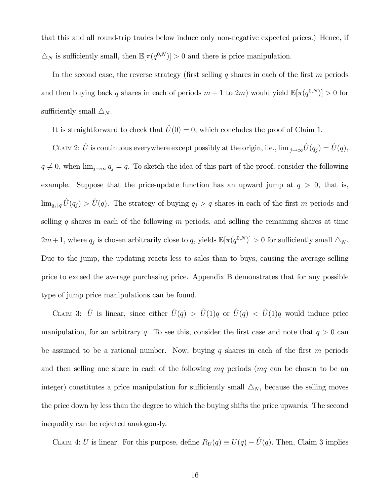that this and all round-trip trades below induce only non-negative expected prices.) Hence, if  $\Delta_N$  is sufficiently small, then  $\mathbb{E}[\pi(q^{0,N})] > 0$  and there is price manipulation.

In the second case, the reverse strategy (first selling  $q$  shares in each of the first  $m$  periods and then buying back q shares in each of periods  $m + 1$  to  $2m$ ) would yield  $\mathbb{E}[\pi(q^{0,N})] > 0$  for sufficiently small  $\triangle_N$ .

It is straightforward to check that  $\hat{U}(0) = 0$ , which concludes the proof of Claim 1.

CLAIM 2:  $\hat{U}$  is continuous everywhere except possibly at the origin, i.e.,  $\lim_{j\to\infty}\hat{U}(q_j) = \hat{U}(q)$ ,  $q \neq 0$ , when  $\lim_{j\to\infty} q_j = q$ . To sketch the idea of this part of the proof, consider the following example. Suppose that the price-update function has an upward jump at  $q > 0$ , that is,  $\lim_{q_j\downarrow q} \hat{U}(q_j) > \hat{U}(q)$ . The strategy of buying  $q_j > q$  shares in each of the first m periods and selling q shares in each of the following  $m$  periods, and selling the remaining shares at time  $2m + 1$ , where  $q_j$  is chosen arbitrarily close to q, yields  $\mathbb{E}[\pi(q^{0,N})] > 0$  for sufficiently small  $\Delta_N$ . Due to the jump, the updating reacts less to sales than to buys, causing the average selling price to exceed the average purchasing price. Appendix B demonstrates that for any possible type of jump price manipulations can be found.

CLAIM 3:  $\hat{U}$  is linear, since either  $\hat{U}(q) > \hat{U}(1)q$  or  $\hat{U}(q) < \hat{U}(1)q$  would induce price manipulation, for an arbitrary q. To see this, consider the first case and note that  $q > 0$  can be assumed to be a rational number. Now, buying q shares in each of the first  $m$  periods and then selling one share in each of the following  $mq$  periods  $(mq \text{ can be chosen to be an})$ integer) constitutes a price manipulation for sufficiently small  $\Delta_N$ , because the selling moves the price down by less than the degree to which the buying shifts the price upwards. The second inequality can be rejected analogously.

CLAIM 4: U is linear. For this purpose, define  $R_U(q) \equiv U(q) - \hat{U}(q)$ . Then, Claim 3 implies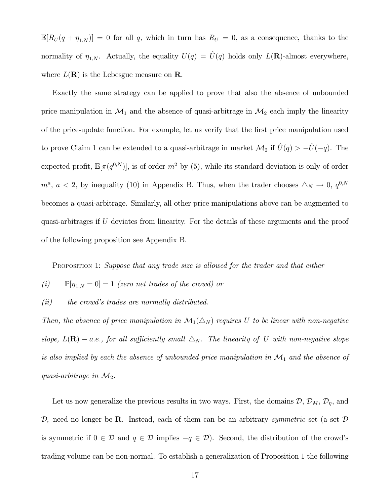$\mathbb{E}[R_U(q + \eta_{1,N})] = 0$  for all q, which in turn has  $R_U = 0$ , as a consequence, thanks to the normality of  $\eta_{1,N}$ . Actually, the equality  $U(q) = \hat{U}(q)$  holds only  $L(\mathbf{R})$ -almost everywhere, where  $L(\mathbf{R})$  is the Lebesgue measure on **R**.

Exactly the same strategy can be applied to prove that also the absence of unbounded price manipulation in  $\mathcal{M}_1$  and the absence of quasi-arbitrage in  $\mathcal{M}_2$  each imply the linearity of the price-update function. For example, let us verify that the first price manipulation used to prove Claim 1 can be extended to a quasi-arbitrage in market  $\mathcal{M}_2$  if  $\hat{U}(q) > -\hat{U}(-q)$ . The expected profit,  $\mathbb{E}[\pi(q^{0,N})]$ , is of order  $m^2$  by (5), while its standard deviation is only of order  $m^a$ ,  $a < 2$ , by inequality (10) in Appendix B. Thus, when the trader chooses  $\Delta_N \to 0$ ,  $q^{0,N}$ becomes a quasi-arbitrage. Similarly, all other price manipulations above can be augmented to quasi-arbitrages if U deviates from linearity. For the details of these arguments and the proof of the following proposition see Appendix B.

PROPOSITION 1: Suppose that any trade size is allowed for the trader and that either

- (i)  $\mathbb{P}[\eta_{1,N} = 0] = 1$  (zero net trades of the crowd) or
- $(ii)$  the crowd's trades are normally distributed.

Then, the absence of price manipulation in  $\mathcal{M}_1(\Delta_N)$  requires U to be linear with non-negative slope,  $L(\mathbf{R})$  – a.e., for all sufficiently small  $\Delta_N$ . The linearity of U with non-negative slope is also implied by each the absence of unbounded price manipulation in  $\mathcal{M}_1$  and the absence of quasi-arbitrage in  $\mathcal{M}_2$ .

Let us now generalize the previous results in two ways. First, the domains  $\mathcal{D}, \mathcal{D}_M, \mathcal{D}_\eta$ , and  $\mathcal{D}_{\varepsilon}$  need no longer be **R**. Instead, each of them can be an arbitrary *symmetric* set (a set  $\mathcal{D}$ is symmetric if  $0 \in \mathcal{D}$  and  $q \in \mathcal{D}$  implies  $-q \in \mathcal{D}$ ). Second, the distribution of the crowd's trading volume can be non-normal. To establish a generalization of Proposition 1 the following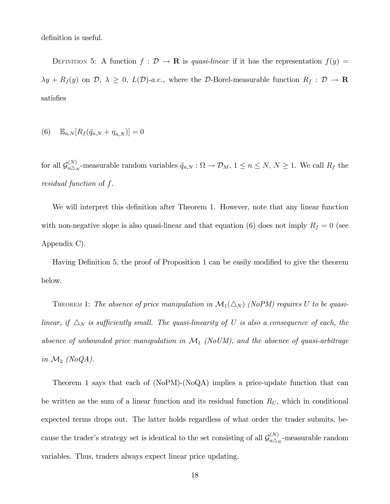definition is useful.

DEFINITION 5: A function  $f : \mathcal{D} \to \mathbf{R}$  is quasi-linear if it has the representation  $f(y) =$  $\lambda y + R_f(y)$  on  $\mathcal{D}, \lambda \geq 0, L(\mathcal{D})$ -a.e., where the  $\mathcal{D}$ -Borel-measurable function  $R_f : \mathcal{D} \to \mathbf{R}$ satisfies

$$
(6) \quad \mathbb{E}_{n,N}[R_f(\tilde{q}_{n,N} + \eta_{n,N})] = 0
$$

for all  $\mathcal{G}_{n\triangle_N}^{(N)}$ -measurable random variables  $\tilde{q}_{n,N}$ :  $\Omega \to \mathcal{D}_M$ ,  $1 \leq n \leq N$ ,  $N \geq 1$ . We call  $R_f$  the residual function of f.

We will interpret this definition after Theorem 1. However, note that any linear function with non-negative slope is also quasi-linear and that equation (6) does not imply  $R_f = 0$  (see Appendix C).

Having Definition 5, the proof of Proposition 1 can be easily modified to give the theorem below.

THEOREM 1: The absence of price manipulation in  $\mathcal{M}_1(\Delta_N)$  (NoPM) requires U to be quasilinear, if  $\Delta_N$  is sufficiently small. The quasi-linearity of U is also a consequence of each, the absence of unbounded price manipulation in  $\mathcal{M}_1$  (NoUM), and the absence of quasi-arbitrage in  $\mathcal{M}_2$  (NoQA).

Theorem 1 says that each of (NoPM)-(NoQA) implies a price-update function that can be written as the sum of a linear function and its residual function  $R_U$ , which in conditional expected terms drops out. The latter holds regardless of what order the trader submits, because the trader's strategy set is identical to the set consisting of all  $\mathcal{G}_{n\Delta_N}^{(N)}$ -measurable random variables. Thus, traders always expect linear price updating.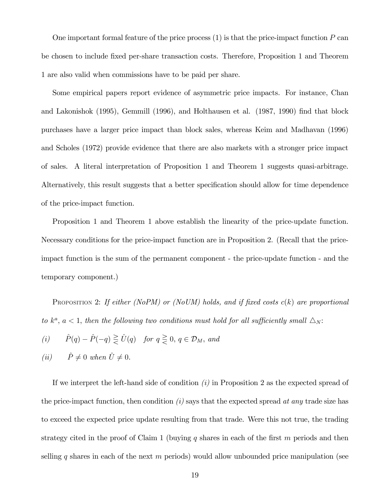One important formal feature of the price process  $(1)$  is that the price-impact function  $P$  can be chosen to include fixed per-share transaction costs. Therefore, Proposition 1 and Theorem 1 are also valid when commissions have to be paid per share.

Some empirical papers report evidence of asymmetric price impacts. For instance, Chan and Lakonishok (1995), Gemmill (1996), and Holthausen et al. (1987, 1990) find that block purchases have a larger price impact than block sales, whereas Keim and Madhavan (1996) and Scholes (1972) provide evidence that there are also markets with a stronger price impact of sales. A literal interpretation of Proposition 1 and Theorem 1 suggests quasi-arbitrage. Alternatively, this result suggests that a better specification should allow for time dependence of the price-impact function.

Proposition 1 and Theorem 1 above establish the linearity of the price-update function. Necessary conditions for the price-impact function are in Proposition 2. (Recall that the priceimpact function is the sum of the permanent component - the price-update function - and the temporary component.)

PROPOSITION 2: If either (NoPM) or (NoUM) holds, and if fixed costs  $c(k)$  are proportional to  $k^a$ ,  $a < 1$ , then the following two conditions must hold for all sufficiently small  $\Delta_N$ :

(i) 
$$
\hat{P}(q) - \hat{P}(-q) \geq \hat{U}(q)
$$
 for  $q \geq 0, q \in \mathcal{D}_M$ , and

$$
(ii) \qquad \hat{P} \neq 0 \text{ when } \hat{U} \neq 0.
$$

If we interpret the left-hand side of condition  $(i)$  in Proposition 2 as the expected spread of the price-impact function, then condition  $(i)$  says that the expected spread at any trade size has to exceed the expected price update resulting from that trade. Were this not true, the trading strategy cited in the proof of Claim 1 (buying q shares in each of the first  $m$  periods and then selling q shares in each of the next  $m$  periods) would allow unbounded price manipulation (see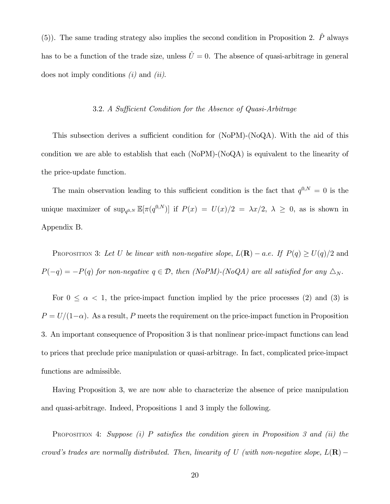(5)). The same trading strategy also implies the second condition in Proposition 2.  $\hat{P}$  always has to be a function of the trade size, unless  $\hat{U} = 0$ . The absence of quasi-arbitrage in general does not imply conditions  $(i)$  and  $(ii)$ .

# 3.2. A Sufficient Condition for the Absence of Quasi-Arbitrage

This subsection derives a sufficient condition for (NoPM)-(NoQA). With the aid of this condition we are able to establish that each (NoPM)-(NoQA) is equivalent to the linearity of the price-update function.

The main observation leading to this sufficient condition is the fact that  $q^{0,N} = 0$  is the unique maximizer of  $\sup_{q^{0,N}} \mathbb{E}[\pi(q^{0,N})]$  if  $P(x) = U(x)/2 = \lambda x/2$ ,  $\lambda \geq 0$ , as is shown in Appendix B.

PROPOSITION 3: Let U be linear with non-negative slope,  $L(\mathbf{R}) - a.e.$  If  $P(q) \ge U(q)/2$  and  $P(-q) = -P(q)$  for non-negative  $q \in \mathcal{D}$ , then (NoPM)-(NoQA) are all satisfied for any  $\Delta_N$ .

For  $0 \le \alpha < 1$ , the price-impact function implied by the price processes (2) and (3) is  $P = U/(1-\alpha)$ . As a result, P meets the requirement on the price-impact function in Proposition 3. An important consequence of Proposition 3 is that nonlinear price-impact functions can lead to prices that preclude price manipulation or quasi-arbitrage. In fact, complicated price-impact functions are admissible.

Having Proposition 3, we are now able to characterize the absence of price manipulation and quasi-arbitrage. Indeed, Propositions 1 and 3 imply the following.

PROPOSITION 4: Suppose (i) P satisfies the condition given in Proposition 3 and (ii) the crowd's trades are normally distributed. Then, linearity of U (with non-negative slope,  $L(\mathbf{R})$  –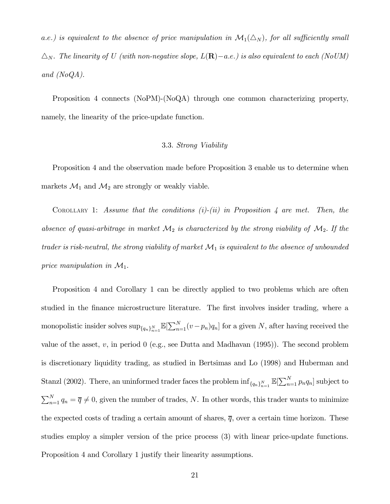a.e.) is equivalent to the absence of price manipulation in  $\mathcal{M}_1(\Delta_N)$ , for all sufficiently small  $\Delta_N$ . The linearity of U (with non-negative slope,  $L(\mathbf{R})-a.e.$ ) is also equivalent to each (NoUM) and (NoQA).

Proposition 4 connects (NoPM)-(NoQA) through one common characterizing property, namely, the linearity of the price-update function.

# 3.3. Strong Viability

Proposition 4 and the observation made before Proposition 3 enable us to determine when markets  $\mathcal{M}_1$  and  $\mathcal{M}_2$  are strongly or weakly viable.

COROLLARY 1: Assume that the conditions  $(i)-(ii)$  in Proposition 4 are met. Then, the absence of quasi-arbitrage in market  $\mathcal{M}_2$  is characterized by the strong viability of  $\mathcal{M}_2$ . If the trader is risk-neutral, the strong viability of market  $\mathcal{M}_1$  is equivalent to the absence of unbounded price manipulation in  $\mathcal{M}_1$ .

Proposition 4 and Corollary 1 can be directly applied to two problems which are often studied in the finance microstructure literature. The first involves insider trading, where a monopolistic insider solves  $\sup_{\{q_n\}_{n=1}^N} \mathbb{E}[\sum_{n=1}^N (v-p_n)q_n]$  for a given N, after having received the value of the asset,  $v$ , in period 0 (e.g., see Dutta and Madhavan  $(1995)$ ). The second problem is discretionary liquidity trading, as studied in Bertsimas and Lo (1998) and Huberman and Stanzl (2002). There, an uninformed trader faces the problem  $\inf_{\{q_n\}_{n=1}^N} \mathbb{E}[\sum_{n=1}^N p_n q_n]$  subject to  $\sum_{n=1}^{N} q_n = \overline{q} \neq 0$ , given the number of trades, N. In other words, this trader wants to minimize the expected costs of trading a certain amount of shares,  $\overline{q}$ , over a certain time horizon. These studies employ a simpler version of the price process (3) with linear price-update functions. Proposition 4 and Corollary 1 justify their linearity assumptions.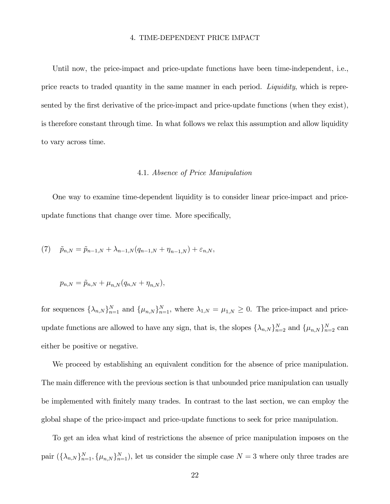#### 4. TIME-DEPENDENT PRICE IMPACT

Until now, the price-impact and price-update functions have been time-independent, i.e., price reacts to traded quantity in the same manner in each period. Liquidity, which is represented by the first derivative of the price-impact and price-update functions (when they exist), is therefore constant through time. In what follows we relax this assumption and allow liquidity to vary across time.

#### 4.1. Absence of Price Manipulation

One way to examine time-dependent liquidity is to consider linear price-impact and priceupdate functions that change over time. More specifically,

(7) 
$$
\tilde{p}_{n,N} = \tilde{p}_{n-1,N} + \lambda_{n-1,N}(q_{n-1,N} + \eta_{n-1,N}) + \varepsilon_{n,N},
$$

$$
p_{n,N} = \tilde{p}_{n,N} + \mu_{n,N}(q_{n,N} + \eta_{n,N}),
$$

for sequences  $\{\lambda_{n,N}\}_{n=1}^N$  and  $\{\mu_{n,N}\}_{n=1}^N$ , where  $\lambda_{1,N} = \mu_{1,N} \geq 0$ . The price-impact and priceupdate functions are allowed to have any sign, that is, the slopes  $\{\lambda_{n,N}\}_{n=2}^N$  and  $\{\mu_{n,N}\}_{n=2}^N$  can either be positive or negative.

We proceed by establishing an equivalent condition for the absence of price manipulation. The main difference with the previous section is that unbounded price manipulation can usually be implemented with finitely many trades. In contrast to the last section, we can employ the global shape of the price-impact and price-update functions to seek for price manipulation.

To get an idea what kind of restrictions the absence of price manipulation imposes on the pair  $(\{\lambda_{n,N}\}_{n=1}^N, {\{\mu_{n,N}\}}_{n=1}^N)$ , let us consider the simple case  $N=3$  where only three trades are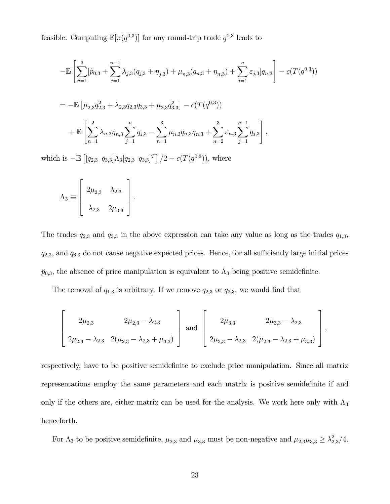feasible. Computing  $\mathbb{E}[\pi(q^{0,3})]$  for any round-trip trade  $q^{0,3}$  leads to

$$
-\mathbb{E}\left[\sum_{n=1}^{3}[\tilde{p}_{0,3} + \sum_{j=1}^{n-1}\lambda_{j,3}(q_{j,3} + \eta_{j,3}) + \mu_{n,3}(q_{n,3} + \eta_{n,3}) + \sum_{j=1}^{n}\varepsilon_{j,3}]q_{n,3}\right] - c(T(q^{0,3}))
$$
  
= 
$$
-\mathbb{E}\left[\mu_{2,3}q_{2,3}^{2} + \lambda_{2,3}q_{2,3}q_{3,3} + \mu_{3,3}q_{3,3}^{2}\right] - c(T(q^{0,3}))
$$

$$
+\mathbb{E}\left[\sum_{n=1}^{2}\lambda_{n,3}\eta_{n,3}\sum_{j=1}^{n}q_{j,3} - \sum_{n=1}^{3}\mu_{n,3}q_{n,3}\eta_{n,3} + \sum_{n=2}^{3}\varepsilon_{n,3}\sum_{j=1}^{n-1}q_{j,3}\right],
$$

which is  $-\mathbb{E} \left[ [q_{2,3} \ q_{3,3}] \Lambda_3[q_{2,3} \ q_{3,3}]^T \right] / 2 - c(T(q^{0,3}))$ , where

$$
\Lambda_3 \equiv \left[ \begin{array}{cc} 2\mu_{2,3} & \lambda_{2,3} \\ \\ \lambda_{2,3} & 2\mu_{3,3} \end{array} \right].
$$

The trades  $q_{2,3}$  and  $q_{3,3}$  in the above expression can take any value as long as the trades  $q_{1,3}$ ,  $q_{2,3}$ , and  $q_{3,3}$  do not cause negative expected prices. Hence, for all sufficiently large initial prices  $\tilde{p}_{0,3}$ , the absence of price manipulation is equivalent to  $\Lambda_3$  being positive semidefinite.

The removal of  $q_{1,3}$  is arbitrary. If we remove  $q_{2,3}$  or  $q_{3,3}$ , we would find that

$$
\left[\begin{array}{cc} 2\mu_{2,3} & 2\mu_{2,3} - \lambda_{2,3} \\ 2\mu_{2,3} - \lambda_{2,3} & 2(\mu_{2,3} - \lambda_{2,3} + \mu_{3,3}) \end{array}\right] \text{ and } \left[\begin{array}{cc} 2\mu_{3,3} & 2\mu_{3,3} - \lambda_{2,3} \\ 2\mu_{3,3} - \lambda_{2,3} & 2(\mu_{2,3} - \lambda_{2,3} + \mu_{3,3}) \end{array}\right],
$$

respectively, have to be positive semidefinite to exclude price manipulation. Since all matrix representations employ the same parameters and each matrix is positive semidefinite if and only if the others are, either matrix can be used for the analysis. We work here only with  $\Lambda_3$ henceforth.

For  $\Lambda_3$  to be positive semidefinite,  $\mu_{2,3}$  and  $\mu_{3,3}$  must be non-negative and  $\mu_{2,3}\mu_{3,3} \geq \lambda_{2,3}^2/4$ .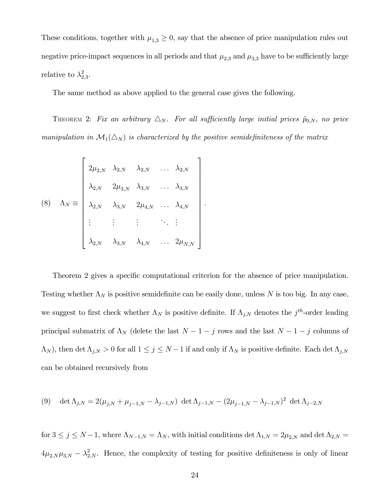These conditions, together with  $\mu_{1,3} \geq 0$ , say that the absence of price manipulation rules out negative price-impact sequences in all periods and that  $\mu_{2,3}$  and  $\mu_{3,3}$  have to be sufficiently large relative to  $\lambda_{2,3}^2$ .

The same method as above applied to the general case gives the following.

THEOREM 2: Fix an arbitrary  $\Delta_N$ . For all sufficiently large initial prices  $\tilde{p}_{0,N}$ , no price manipulation in  $\mathcal{M}_1(\Delta_N)$  is characterized by the positive semidefiniteness of the matrix

$$
(8) \quad \Lambda_N \equiv \begin{bmatrix} 2\mu_{2,N} & \lambda_{2,N} & \lambda_{2,N} & \dots & \lambda_{2,N} \\ \lambda_{2,N} & 2\mu_{3,N} & \lambda_{3,N} & \dots & \lambda_{3,N} \\ \lambda_{2,N} & \lambda_{3,N} & 2\mu_{4,N} & \dots & \lambda_{4,N} \\ \vdots & \vdots & \vdots & \ddots & \vdots \\ \lambda_{2,N} & \lambda_{3,N} & \lambda_{4,N} & \dots & 2\mu_{N,N} \end{bmatrix}.
$$

Theorem 2 gives a specific computational criterion for the absence of price manipulation. Testing whether  $\Lambda_N$  is positive semidefinite can be easily done, unless N is too big. In any case, we suggest to first check whether  $\Lambda_N$  is positive definite. If  $\Lambda_{j,N}$  denotes the  $j<sup>th</sup>$ -order leading principal submatrix of  $\Lambda_N$  (delete the last  $N-1-j$  rows and the last  $N-1-j$  columns of  $(\Lambda_N)$ , then det  $\Lambda_{j,N} > 0$  for all  $1 \leq j \leq N-1$  if and only if  $\Lambda_N$  is positive definite. Each det  $\Lambda_{j,N}$ can be obtained recursively from

(9) 
$$
\det \Lambda_{j,N} = 2(\mu_{j,N} + \mu_{j-1,N} - \lambda_{j-1,N}) \ \det \Lambda_{j-1,N} - (2\mu_{j-1,N} - \lambda_{j-1,N})^2 \ \det \Lambda_{j-2,N}
$$

for  $3 \le j \le N-1$ , where  $\Lambda_{N-1,N} = \Lambda_N$ , with initial conditions  $\det \Lambda_{1,N} = 2\mu_{2,N}$  and  $\det \Lambda_{2,N} = 1$  $4\mu_{2,N}\mu_{3,N} - \lambda_{2,N}^2$ . Hence, the complexity of testing for positive definiteness is only of linear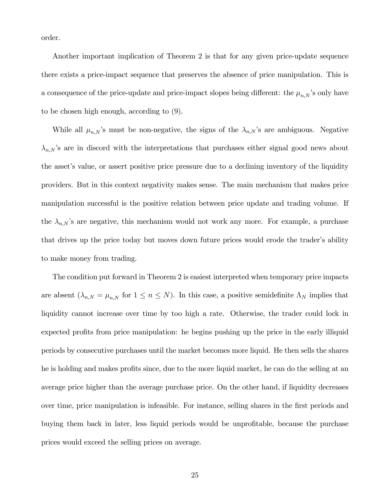order.

Another important implication of Theorem 2 is that for any given price-update sequence there exists a price-impact sequence that preserves the absence of price manipulation. This is a consequence of the price-update and price-impact slopes being different: the  $\mu_{n,N}$ 's only have to be chosen high enough, according to (9).

While all  $\mu_{n,N}$ 's must be non-negative, the signs of the  $\lambda_{n,N}$ 's are ambiguous. Negative  $\lambda_{n,N}$ 's are in discord with the interpretations that purchases either signal good news about the asset's value, or assert positive price pressure due to a declining inventory of the liquidity providers. But in this context negativity makes sense. The main mechanism that makes price manipulation successful is the positive relation between price update and trading volume. If the  $\lambda_{n,N}$ 's are negative, this mechanism would not work any more. For example, a purchase that drives up the price today but moves down future prices would erode the trader's ability to make money from trading.

The condition put forward in Theorem 2 is easiest interpreted when temporary price impacts are absent  $(\lambda_{n,N} = \mu_{n,N}$  for  $1 \leq n \leq N)$ . In this case, a positive semidefinite  $\Lambda_N$  implies that liquidity cannot increase over time by too high a rate. Otherwise, the trader could lock in expected profits from price manipulation: he begins pushing up the price in the early illiquid periods by consecutive purchases until the market becomes more liquid. He then sells the shares he is holding and makes profits since, due to the more liquid market, he can do the selling at an average price higher than the average purchase price. On the other hand, if liquidity decreases over time, price manipulation is infeasible. For instance, selling shares in the first periods and buying them back in later, less liquid periods would be unprofitable, because the purchase prices would exceed the selling prices on average.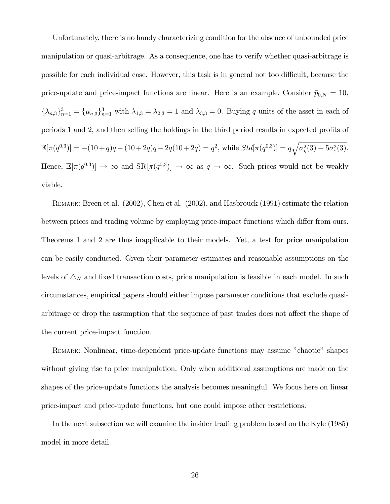Unfortunately, there is no handy characterizing condition for the absence of unbounded price manipulation or quasi-arbitrage. As a consequence, one has to verify whether quasi-arbitrage is possible for each individual case. However, this task is in general not too difficult, because the price-update and price-impact functions are linear. Here is an example. Consider  $\tilde{p}_{0,N} = 10$ ,  ${\{\lambda_{n,3}\}}_{n=1}^3 = {\{\mu_{n,3}\}}_{n=1}^3$  with  $\lambda_{1,3} = \lambda_{2,3} = 1$  and  $\lambda_{3,3} = 0$ . Buying q units of the asset in each of periods 1 and 2, and then selling the holdings in the third period results in expected profits of  $\mathbb{E}[\pi(q^{0,3})] = -(10+q)q - (10+2q)q + 2q(10+2q) = q^2$ , while  $Std[\pi(q^{0,3})] = q\sqrt{\sigma_{\eta}^2(3) + 5\sigma_{\varepsilon}^2(3)}$ . Hence,  $\mathbb{E}[\pi(q^{0,3})] \to \infty$  and  $\text{SR}[\pi(q^{0,3})] \to \infty$  as  $q \to \infty$ . Such prices would not be weakly viable.

REMARK: Breen et al. (2002), Chen et al. (2002), and Hasbrouck (1991) estimate the relation between prices and trading volume by employing price-impact functions which differ from ours. Theorems 1 and 2 are thus inapplicable to their models. Yet, a test for price manipulation can be easily conducted. Given their parameter estimates and reasonable assumptions on the levels of  $\triangle_N$  and fixed transaction costs, price manipulation is feasible in each model. In such circumstances, empirical papers should either impose parameter conditions that exclude quasiarbitrage or drop the assumption that the sequence of past trades does not affect the shape of the current price-impact function.

REMARK: Nonlinear, time-dependent price-update functions may assume "chaotic" shapes without giving rise to price manipulation. Only when additional assumptions are made on the shapes of the price-update functions the analysis becomes meaningful. We focus here on linear price-impact and price-update functions, but one could impose other restrictions.

In the next subsection we will examine the insider trading problem based on the Kyle (1985) model in more detail.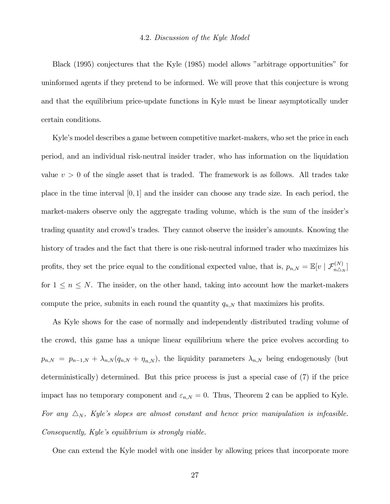Black (1995) conjectures that the Kyle (1985) model allows "arbitrage opportunities" for uninformed agents if they pretend to be informed. We will prove that this conjecture is wrong and that the equilibrium price-update functions in Kyle must be linear asymptotically under certain conditions.

Kyle's model describes a game between competitive market-makers, who set the price in each period, and an individual risk-neutral insider trader, who has information on the liquidation value  $v > 0$  of the single asset that is traded. The framework is as follows. All trades take place in the time interval [0, 1] and the insider can choose any trade size. In each period, the market-makers observe only the aggregate trading volume, which is the sum of the insider's trading quantity and crowd's trades. They cannot observe the insider's amounts. Knowing the history of trades and the fact that there is one risk-neutral informed trader who maximizes his profits, they set the price equal to the conditional expected value, that is,  $p_{n,N} = \mathbb{E}[v \mid \mathcal{F}_{n\triangle_N}^{(N)}]$ for  $1 \leq n \leq N$ . The insider, on the other hand, taking into account how the market-makers compute the price, submits in each round the quantity  $q_{n,N}$  that maximizes his profits.

As Kyle shows for the case of normally and independently distributed trading volume of the crowd, this game has a unique linear equilibrium where the price evolves according to  $p_{n,N} = p_{n-1,N} + \lambda_{n,N} (q_{n,N} + \eta_{n,N}),$  the liquidity parameters  $\lambda_{n,N}$  being endogenously (but deterministically) determined. But this price process is just a special case of (7) if the price impact has no temporary component and  $\varepsilon_{n,N} = 0$ . Thus, Theorem 2 can be applied to Kyle. For any  $\Delta_N$ , Kyle's slopes are almost constant and hence price manipulation is infeasible.  $Consequently, Kyle's equilibrium is strongly viable.$ 

One can extend the Kyle model with one insider by allowing prices that incorporate more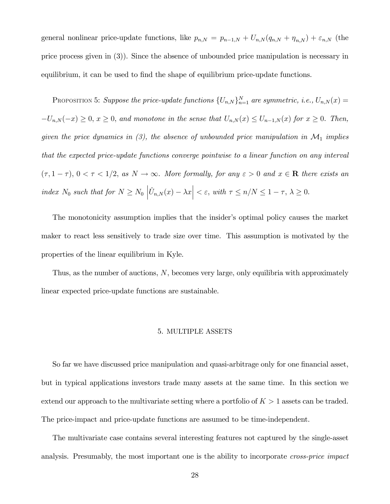general nonlinear price-update functions, like  $p_{n,N} = p_{n-1,N} + U_{n,N}(q_{n,N} + \eta_{n,N}) + \varepsilon_{n,N}$  (the price process given in (3)). Since the absence of unbounded price manipulation is necessary in equilibrium, it can be used to find the shape of equilibrium price-update functions.

PROPOSITION 5: Suppose the price-update functions  $\{U_{n,N}\}_{n=1}^N$  are symmetric, i.e.,  $U_{n,N}(x) =$  $-U_{n,N}(-x) \geq 0$ ,  $x \geq 0$ , and monotone in the sense that  $U_{n,N}(x) \leq U_{n-1,N}(x)$  for  $x \geq 0$ . Then, given the price dynamics in (3), the absence of unbounded price manipulation in  $\mathcal{M}_1$  implies that the expected price-update functions converge pointwise to a linear function on any interval  $(\tau, 1 - \tau), 0 < \tau < 1/2$ , as  $N \to \infty$ . More formally, for any  $\varepsilon > 0$  and  $x \in \mathbb{R}$  there exists an index  $N_0$  such that for  $N \ge N_0 \left| \hat{U}_{n,N}(x) - \lambda x \right| < \varepsilon$ , with  $\tau \le n/N \le 1 - \tau$ ,  $\lambda \ge 0$ .

The monotonicity assumption implies that the insider's optimal policy causes the market maker to react less sensitively to trade size over time. This assumption is motivated by the properties of the linear equilibrium in Kyle.

Thus, as the number of auctions, N, becomes very large, only equilibria with approximately linear expected price-update functions are sustainable.

## 5. MULTIPLE ASSETS

So far we have discussed price manipulation and quasi-arbitrage only for one financial asset, but in typical applications investors trade many assets at the same time. In this section we extend our approach to the multivariate setting where a portfolio of  $K > 1$  assets can be traded. The price-impact and price-update functions are assumed to be time-independent.

The multivariate case contains several interesting features not captured by the single-asset analysis. Presumably, the most important one is the ability to incorporate *cross-price impact*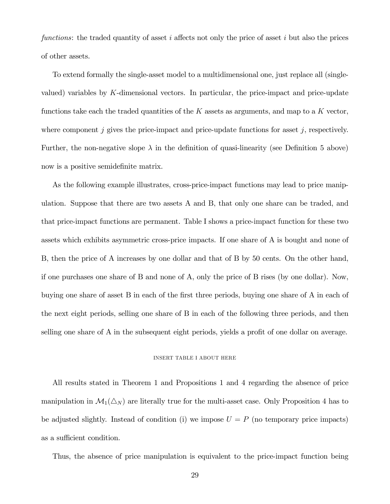functions: the traded quantity of asset  $i$  affects not only the price of asset  $i$  but also the prices of other assets.

To extend formally the single-asset model to a multidimensional one, just replace all (singlevalued) variables by K-dimensional vectors. In particular, the price-impact and price-update functions take each the traded quantities of the  $K$  assets as arguments, and map to a  $K$  vector, where component j gives the price-impact and price-update functions for asset j, respectively. Further, the non-negative slope  $\lambda$  in the definition of quasi-linearity (see Definition 5 above) now is a positive semidefinite matrix.

As the following example illustrates, cross-price-impact functions may lead to price manipulation. Suppose that there are two assets A and B, that only one share can be traded, and that price-impact functions are permanent. Table I shows a price-impact function for these two assets which exhibits asymmetric cross-price impacts. If one share of A is bought and none of B, then the price of A increases by one dollar and that of B by 50 cents. On the other hand, if one purchases one share of B and none of A, only the price of B rises (by one dollar). Now, buying one share of asset B in each of the first three periods, buying one share of A in each of the next eight periods, selling one share of B in each of the following three periods, and then selling one share of A in the subsequent eight periods, yields a profit of one dollar on average.

#### INSERT TABLE I ABOUT HERE

All results stated in Theorem 1 and Propositions 1 and 4 regarding the absence of price manipulation in  $\mathcal{M}_1(\Delta_N)$  are literally true for the multi-asset case. Only Proposition 4 has to be adjusted slightly. Instead of condition (i) we impose  $U = P$  (no temporary price impacts) as a sufficient condition.

Thus, the absence of price manipulation is equivalent to the price-impact function being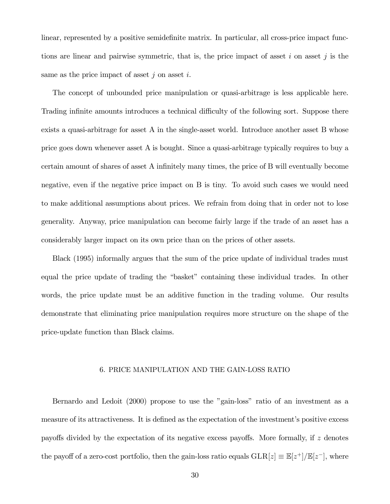linear, represented by a positive semidefinite matrix. In particular, all cross-price impact functions are linear and pairwise symmetric, that is, the price impact of asset  $i$  on asset  $j$  is the same as the price impact of asset  $i$  on asset  $i$ .

The concept of unbounded price manipulation or quasi-arbitrage is less applicable here. Trading infinite amounts introduces a technical difficulty of the following sort. Suppose there exists a quasi-arbitrage for asset A in the single-asset world. Introduce another asset B whose price goes down whenever asset A is bought. Since a quasi-arbitrage typically requires to buy a certain amount of shares of asset A infinitely many times, the price of B will eventually become negative, even if the negative price impact on B is tiny. To avoid such cases we would need to make additional assumptions about prices. We refrain from doing that in order not to lose generality. Anyway, price manipulation can become fairly large if the trade of an asset has a considerably larger impact on its own price than on the prices of other assets.

Black (1995) informally argues that the sum of the price update of individual trades must equal the price update of trading the "basket" containing these individual trades. In other words, the price update must be an additive function in the trading volume. Our results demonstrate that eliminating price manipulation requires more structure on the shape of the price-update function than Black claims.

## 6. PRICE MANIPULATION AND THE GAIN-LOSS RATIO

Bernardo and Ledoit  $(2000)$  propose to use the "gain-loss" ratio of an investment as a measure of its attractiveness. It is defined as the expectation of the investment's positive excess payoffs divided by the expectation of its negative excess payoffs. More formally, if z denotes the payoff of a zero-cost portfolio, then the gain-loss ratio equals  $GLR[z] \equiv \mathbb{E}[z^+]/\mathbb{E}[z^-]$ , where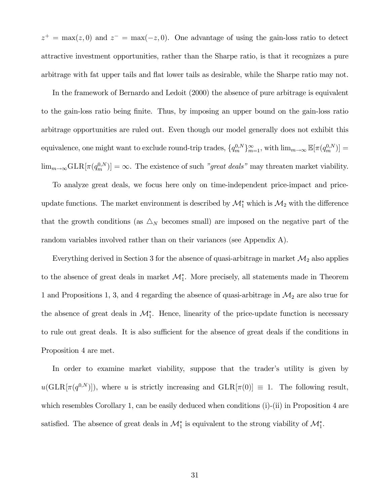$z^+ = \max(z, 0)$  and  $z^- = \max(-z, 0)$ . One advantage of using the gain-loss ratio to detect attractive investment opportunities, rather than the Sharpe ratio, is that it recognizes a pure arbitrage with fat upper tails and flat lower tails as desirable, while the Sharpe ratio may not.

In the framework of Bernardo and Ledoit (2000) the absence of pure arbitrage is equivalent to the gain-loss ratio being finite. Thus, by imposing an upper bound on the gain-loss ratio arbitrage opportunities are ruled out. Even though our model generally does not exhibit this equivalence, one might want to exclude round-trip trades,  ${q_m^{0,N}}_{m=1}^{\infty}$ , with  $\lim_{m\to\infty} \mathbb{E}[\pi(q_m^{0,N})] =$  $\lim_{m\to\infty} GLR[\pi(q_m^{0,N})] = \infty$ . The existence of such *"great deals"* may threaten market viability.

To analyze great deals, we focus here only on time-independent price-impact and priceupdate functions. The market environment is described by  $\mathcal{M}_1^*$  which is  $\mathcal{M}_2$  with the difference that the growth conditions (as  $\Delta_N$  becomes small) are imposed on the negative part of the random variables involved rather than on their variances (see Appendix A).

Everything derived in Section 3 for the absence of quasi-arbitrage in market  $\mathcal{M}_2$  also applies to the absence of great deals in market  $\mathcal{M}_1^*$ . More precisely, all statements made in Theorem 1 and Propositions 1, 3, and 4 regarding the absence of quasi-arbitrage in  $\mathcal{M}_2$  are also true for the absence of great deals in  $\mathcal{M}_1^*$ . Hence, linearity of the price-update function is necessary to rule out great deals. It is also sufficient for the absence of great deals if the conditions in Proposition 4 are met.

In order to examine market viability, suppose that the trader's utility is given by  $u(\text{GLR}[\pi(q^{0,N})])$ , where u is strictly increasing and  $\text{GLR}[\pi(0)] \equiv 1$ . The following result, which resembles Corollary 1, can be easily deduced when conditions (i)-(ii) in Proposition 4 are satisfied. The absence of great deals in  $\mathcal{M}_1^*$  is equivalent to the strong viability of  $\mathcal{M}_1^*$ .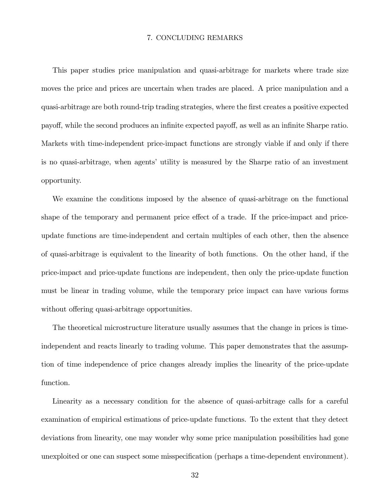# 7. CONCLUDING REMARKS

This paper studies price manipulation and quasi-arbitrage for markets where trade size moves the price and prices are uncertain when trades are placed. A price manipulation and a quasi-arbitrage are both round-trip trading strategies, where the first creates a positive expected payoff, while the second produces an infinite expected payoff, as well as an infinite Sharpe ratio. Markets with time-independent price-impact functions are strongly viable if and only if there is no quasi-arbitrage, when agents' utility is measured by the Sharpe ratio of an investment opportunity.

We examine the conditions imposed by the absence of quasi-arbitrage on the functional shape of the temporary and permanent price effect of a trade. If the price-impact and priceupdate functions are time-independent and certain multiples of each other, then the absence of quasi-arbitrage is equivalent to the linearity of both functions. On the other hand, if the price-impact and price-update functions are independent, then only the price-update function must be linear in trading volume, while the temporary price impact can have various forms without offering quasi-arbitrage opportunities.

The theoretical microstructure literature usually assumes that the change in prices is timeindependent and reacts linearly to trading volume. This paper demonstrates that the assumption of time independence of price changes already implies the linearity of the price-update function.

Linearity as a necessary condition for the absence of quasi-arbitrage calls for a careful examination of empirical estimations of price-update functions. To the extent that they detect deviations from linearity, one may wonder why some price manipulation possibilities had gone unexploited or one can suspect some misspecification (perhaps a time-dependent environment).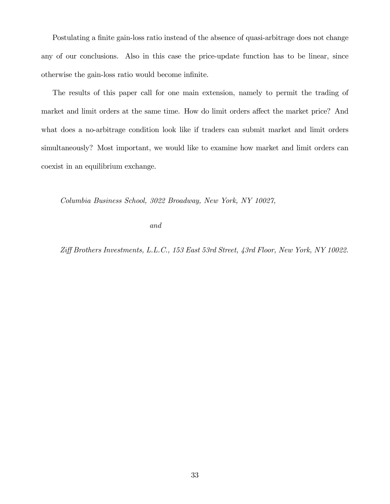Postulating a finite gain-loss ratio instead of the absence of quasi-arbitrage does not change any of our conclusions. Also in this case the price-update function has to be linear, since otherwise the gain-loss ratio would become infinite.

The results of this paper call for one main extension, namely to permit the trading of market and limit orders at the same time. How do limit orders affect the market price? And what does a no-arbitrage condition look like if traders can submit market and limit orders simultaneously? Most important, we would like to examine how market and limit orders can coexist in an equilibrium exchange.

Columbia Business School, 3022 Broadway, New York, NY 10027,

and

Ziff Brothers Investments, L.L.C., 153 East 53rd Street, 43rd Floor, New York, NY 10022.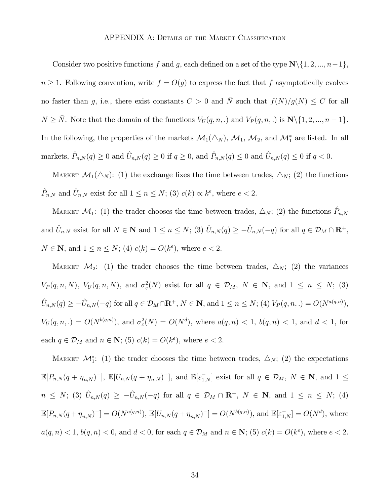Consider two positive functions f and g, each defined on a set of the type  $\mathbb{N}\setminus\{1, 2, ..., n-1\}$ ,  $n \geq 1$ . Following convention, write  $f = O(g)$  to express the fact that f asymptotically evolves no faster than g, i.e., there exist constants  $C > 0$  and  $\overline{N}$  such that  $f(N)/g(N) \leq C$  for all  $N \ge \overline{N}$ . Note that the domain of the functions  $V_U(q, n,.)$  and  $V_P(q, n,.)$  is  $\mathbb{N}\setminus\{1, 2, ..., n-1\}$ . In the following, the properties of the markets  $\mathcal{M}_1(\Delta_N)$ ,  $\mathcal{M}_1$ ,  $\mathcal{M}_2$ , and  $\mathcal{M}_1^*$  are listed. In all markets,  $\hat{P}_{n,N}(q) \ge 0$  and  $\hat{U}_{n,N}(q) \ge 0$  if  $q \ge 0$ , and  $\hat{P}_{n,N}(q) \le 0$  and  $\hat{U}_{n,N}(q) \le 0$  if  $q < 0$ .

MARKET  $\mathcal{M}_1(\Delta_N)$ : (1) the exchange fixes the time between trades,  $\Delta_N$ ; (2) the functions  $\hat{P}_{n,N}$  and  $\hat{U}_{n,N}$  exist for all  $1 \leq n \leq N$ ; (3)  $c(k) \propto k^e$ , where  $e < 2$ .

MARKET  $\mathcal{M}_1$ : (1) the trader chooses the time between trades,  $\triangle_N$ ; (2) the functions  $\hat{P}_{n,N}$ and  $\hat{U}_{n,N}$  exist for all  $N \in \mathbb{N}$  and  $1 \leq n \leq N$ ; (3)  $\hat{U}_{n,N}(q) \geq -\hat{U}_{n,N}(-q)$  for all  $q \in \mathcal{D}_M \cap \mathbb{R}^+$ , *N* ∈ **N**, and  $1 \le n \le N$ ; (4)  $c(k) = O(k^e)$ , where  $e < 2$ .

MARKET  $\mathcal{M}_2$ : (1) the trader chooses the time between trades,  $\Delta_N$ ; (2) the variances  $V_P(q,n,N)$ ,  $V_U(q,n,N)$ , and  $\sigma_{\varepsilon}^2(N)$  exist for all  $q \in \mathcal{D}_M$ ,  $N \in \mathbb{N}$ , and  $1 \leq n \leq N$ ; (3)  $\hat{U}_{n,N}(q) \geq -\hat{U}_{n,N}(-q)$  for all  $q \in \mathcal{D}_M \cap \mathbf{R}^+$ ,  $N \in \mathbf{N}$ , and  $1 \leq n \leq N$ ; (4)  $V_P(q,n,.) = O(N^{a(q,n)})$ ,  $V_U(q,n,.) = O(N^{b(q,n)})$ , and  $\sigma_{\varepsilon}^2(N) = O(N^d)$ , where  $a(q,n) < 1$ ,  $b(q,n) < 1$ , and  $d < 1$ , for each  $q \in \mathcal{D}_M$  and  $n \in \mathbb{N}$ ; (5)  $c(k) = O(k^e)$ , where  $e < 2$ .

MARKET  $\mathcal{M}_{1}^{*}$ : (1) the trader chooses the time between trades,  $\Delta_{N}$ ; (2) the expectations  $\mathbb{E}[P_{n,N}(q+\eta_{n,N})^{-}], \mathbb{E}[U_{n,N}(q+\eta_{n,N})^{-}],$  and  $\mathbb{E}[\varepsilon_{1,N}^{-}]$  exist for all  $q \in \mathcal{D}_M$ ,  $N \in \mathbb{N}$ , and  $1 \leq$  $n \leq N$ ; (3)  $\hat{U}_{n,N}(q) \geq -\hat{U}_{n,N}(-q)$  for all  $q \in \mathcal{D}_M \cap \mathbb{R}^+$ ,  $N \in \mathbb{N}$ , and  $1 \leq n \leq N$ ; (4)  $\mathbb{E}[P_{n,N}(q+\eta_{n,N})^{-}] = O(N^{a(q,n)}), \, \mathbb{E}[U_{n,N}(q+\eta_{n,N})^{-}] = O(N^{b(q,n)}), \, \text{and} \, \, \mathbb{E}[\varepsilon_{1,N}^{-}] = O(N^{d}), \, \text{where}$  $a(q, n) < 1, b(q, n) < 0$ , and  $d < 0$ , for each  $q \in \mathcal{D}_M$  and  $n \in \mathbb{N}$ ; (5)  $c(k) = O(k^e)$ , where  $e < 2$ .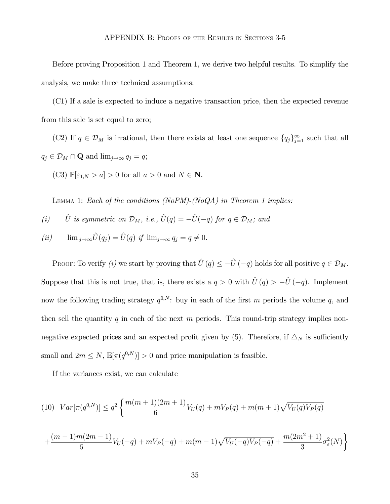Before proving Proposition 1 and Theorem 1, we derive two helpful results. To simplify the analysis, we make three technical assumptions:

(C1) If a sale is expected to induce a negative transaction price, then the expected revenue from this sale is set equal to zero;

(C2) If  $q \in \mathcal{D}_M$  is irrational, then there exists at least one sequence  $\{q_j\}_{j=1}^{\infty}$  such that all  $q_j \in \mathcal{D}_M \cap \mathbf{Q}$  and  $\lim_{j \to \infty} q_j = q;$ 

(C3)  $\mathbb{P}[\varepsilon_{1,N} > a] > 0$  for all  $a > 0$  and  $N \in \mathbb{N}$ .

LEMMA 1: Each of the conditions (NoPM)-(NoQA) in Theorem 1 implies:

(i)  $\hat{U}$  is symmetric on  $\mathcal{D}_M$ , i.e.,  $\hat{U}(q) = -\hat{U}(-q)$  for  $q \in \mathcal{D}_M$ ; and

$$
(ii) \qquad \lim_{j \to \infty} \hat{U}(q_j) = \hat{U}(q) \ \text{if} \ \lim_{j \to \infty} q_j = q \neq 0.
$$

PROOF: To verify (i) we start by proving that  $\hat{U}(q) \leq -\hat{U}(-q)$  holds for all positive  $q \in \mathcal{D}_M$ . Suppose that this is not true, that is, there exists a  $q > 0$  with  $\hat{U}(q) > -\hat{U}(-q)$ . Implement now the following trading strategy  $q^{0,N}$ : buy in each of the first m periods the volume q, and then sell the quantity q in each of the next m periods. This round-trip strategy implies nonnegative expected prices and an expected profit given by (5). Therefore, if  $\Delta_N$  is sufficiently small and  $2m \leq N$ ,  $\mathbb{E}[\pi(q^{0,N})] > 0$  and price manipulation is feasible.

If the variances exist, we can calculate

$$
(10) \ \ Var[\pi(q^{0,N})] \le q^2 \left\{ \frac{m(m+1)(2m+1)}{6} V_U(q) + m V_P(q) + m(m+1) \sqrt{V_U(q) V_P(q)} \right\}
$$

$$
+ \frac{(m-1)m(2m-1)}{6}V_U(-q) + mV_P(-q) + m(m-1)\sqrt{V_U(-q)V_P(-q)} + \frac{m(2m^2+1)}{3}\sigma_{\varepsilon}^2(N)\bigg\}
$$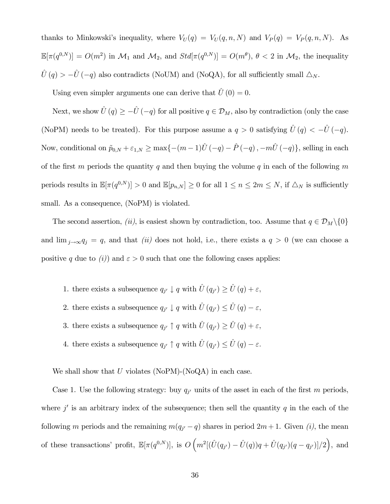thanks to Minkowski's inequality, where  $V_U(q) = V_U(q, n, N)$  and  $V_P(q) = V_P(q, n, N)$ . As  $\mathbb{E}[\pi(q^{0,N})] = O(m^2)$  in  $\mathcal{M}_1$  and  $\mathcal{M}_2$ , and  $Std[\pi(q^{0,N})] = O(m^{\theta}), \theta < 2$  in  $\mathcal{M}_2$ , the inequality  $\hat{U}(q) > -\hat{U}(-q)$  also contradicts (NoUM) and (NoQA), for all sufficiently small  $\triangle_N$ .

Using even simpler arguments one can derive that  $\hat{U}(0) = 0$ .

Next, we show  $\hat{U}(q) \geq -\hat{U}(-q)$  for all positive  $q \in \mathcal{D}_M$ , also by contradiction (only the case (NoPM) needs to be treated). For this purpose assume a  $q > 0$  satisfying  $\hat{U}(q) < -\hat{U}(-q)$ . Now, conditional on  $\tilde{p}_{0,N} + \varepsilon_{1,N} \ge \max\{-(m-1)\hat{U}(-q) - \hat{P}(-q), -m\hat{U}(-q)\}\)$ , selling in each of the first m periods the quantity q and then buying the volume q in each of the following m periods results in  $\mathbb{E}[\pi(q^{0,N})] > 0$  and  $\mathbb{E}[p_{n,N}] \ge 0$  for all  $1 \le n \le 2m \le N$ , if  $\triangle_N$  is sufficiently small. As a consequence, (NoPM) is violated.

The second assertion, (ii), is easiest shown by contradiction, too. Assume that  $q \in \mathcal{D}_M \setminus \{0\}$ and  $\lim_{j\to\infty}q_j = q$ , and that *(ii)* does not hold, i.e., there exists a  $q > 0$  (we can choose a positive q due to (i)) and  $\varepsilon > 0$  such that one the following cases applies:

- 1. there exists a subsequence  $q_{j'} \downarrow q$  with  $\hat{U}(q_{j'}) \geq \hat{U}(q) + \varepsilon$ ,
- 2. there exists a subsequence  $q_{j'} \downarrow q$  with  $\hat{U}(q_{j'}) \leq \hat{U}(q) \varepsilon$ ,
- 3. there exists a subsequence  $q_{j'} \uparrow q$  with  $\hat{U}(q_{j'}) \geq \hat{U}(q) + \varepsilon$ ,
- 4. there exists a subsequence  $q_{j'} \uparrow q$  with  $\hat{U}(q_{j'}) \leq \hat{U}(q) \varepsilon$ .

We shall show that  $U$  violates (NoPM)-(NoQA) in each case.

Case 1. Use the following strategy: buy  $q_{j'}$  units of the asset in each of the first m periods, where j' is an arbitrary index of the subsequence; then sell the quantity q in the each of the following m periods and the remaining  $m(q_{j'} - q)$  shares in period  $2m + 1$ . Given (i), the mean of these transactions' profit,  $\mathbb{E}[\pi(q^{0,N})]$ , is  $O\left(m^2[(\hat{U}(q_{j'}) - \hat{U}(q))q + \hat{U}(q_{j'})(q - q_{j'})]/2\right)$ , and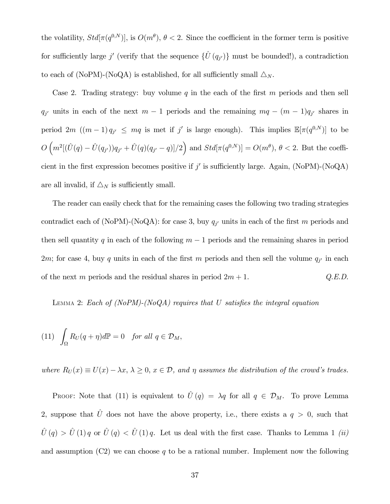the volatility,  $Std[\pi(q^{0,N})],$  is  $O(m^{\theta}), \theta < 2$ . Since the coefficient in the former term is positive for sufficiently large j' (verify that the sequence  $\{\hat{U}(q_{j'})\}$  must be bounded!), a contradiction to each of (NoPM)-(NoQA) is established, for all sufficiently small  $\triangle_N$ .

Case 2. Trading strategy: buy volume  $q$  in the each of the first  $m$  periods and then sell  $q_{j'}$  units in each of the next  $m - 1$  periods and the remaining  $mq - (m - 1)q_{j'}$  shares in period 2m  $((m-1)q_{j'} \leq mq$  is met if j' is large enough). This implies  $\mathbb{E}[\pi(q^{0,N})]$  to be  $O\left(m^2[(\hat{U}(q) - \hat{U}(q_{j'}))q_{j'} + \hat{U}(q)(q_{j'} - q)]/2\right)$  and  $Std[\pi(q^{0,N})] = O(m^{\theta}), \theta < 2$ . But the coefficient in the first expression becomes positive if j' is sufficiently large. Again,  $(NoPM)-(NoQA)$ are all invalid, if  $\Delta_N$  is sufficiently small.

The reader can easily check that for the remaining cases the following two trading strategies contradict each of (NoPM)-(NoQA): for case 3, buy  $q_{j'}$  units in each of the first m periods and then sell quantity q in each of the following  $m-1$  periods and the remaining shares in period 2m; for case 4, buy q units in each of the first m periods and then sell the volume  $q_{j'}$  in each of the next m periods and the residual shares in period  $2m + 1$ . Q.E.D.

LEMMA 2: Each of (NoPM)-(NoQA) requires that U satisfies the integral equation

(11) 
$$
\int_{\Omega} R_U(q + \eta) d\mathbb{P} = 0 \quad \text{for all } q \in \mathcal{D}_M,
$$

where  $R_U(x) \equiv U(x) - \lambda x, \, \lambda \geq 0, \, x \in \mathcal{D}$ , and  $\eta$  assumes the distribution of the crowd's trades.

PROOF: Note that (11) is equivalent to  $\hat{U}(q) = \lambda q$  for all  $q \in \mathcal{D}_M$ . To prove Lemma 2, suppose that  $\hat{U}$  does not have the above property, i.e., there exists a  $q > 0$ , such that  $\hat{U}(q) > \hat{U}(1) q$  or  $\hat{U}(q) < \hat{U}(1) q$ . Let us deal with the first case. Thanks to Lemma 1 *(ii)* and assumption  $(C2)$  we can choose q to be a rational number. Implement now the following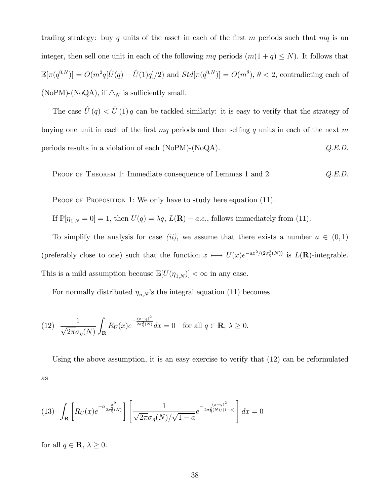trading strategy: buy q units of the asset in each of the first m periods such that  $mq$  is an integer, then sell one unit in each of the following mq periods  $(m(1 + q) \le N)$ . It follows that  $\mathbb{E}[\pi(q^{0,N})] = O(m^2q[\hat{U}(q) - \hat{U}(1)q]/2)$  and  $Std[\pi(q^{0,N})] = O(m^{\theta}), \theta < 2$ , contradicting each of (NoPM)-(NoQA), if  $\triangle_N$  is sufficiently small.

The case  $\hat{U}(q) < \hat{U}(1)q$  can be tackled similarly: it is easy to verify that the strategy of buying one unit in each of the first  $mq$  periods and then selling q units in each of the next m periods results in a violation of each (NoPM)-(NoQA).  $Q.E.D.$ 

PROOF OF THEOREM 1: Immediate consequence of Lemmas 1 and 2.  $Q.E.D.$ 

PROOF OF PROPOSITION 1: We only have to study here equation (11).

If  $\mathbb{P}[\eta_{1,N} = 0] = 1$ , then  $U(q) = \lambda q$ ,  $L(\mathbf{R}) - a.e.$ , follows immediately from (11).

To simplify the analysis for case (ii), we assume that there exists a number  $a \in (0,1)$ (preferably close to one) such that the function  $x \mapsto U(x)e^{-ax^2/(2\sigma_{\eta}^2(N))}$  is  $L(\mathbf{R})$ -integrable. This is a mild assumption because  $\mathbb{E}[U(\eta_{1,N})] < \infty$  in any case.

For normally distributed  $\eta_{n,N}$ 's the integral equation (11) becomes

(12) 
$$
\frac{1}{\sqrt{2\pi}\sigma_{\eta}(N)}\int_{\mathbf{R}}R_{U}(x)e^{-\frac{(x-q)^{2}}{2\sigma_{\eta}^{2}(N)}}dx=0 \text{ for all } q\in\mathbf{R}, \lambda\geq 0.
$$

Using the above assumption, it is an easy exercise to verify that (12) can be reformulated as

(13) 
$$
\int_{\mathbf{R}} \left[ R_U(x) e^{-a \frac{x^2}{2\sigma_\eta^2(N)}} \right] \left[ \frac{1}{\sqrt{2\pi}\sigma_\eta(N)/\sqrt{1-a}} e^{-\frac{(x-q)^2}{2\sigma_\eta^2(N)/(1-a)}} \right] dx = 0
$$

for all  $q \in \mathbf{R}, \lambda \geq 0$ .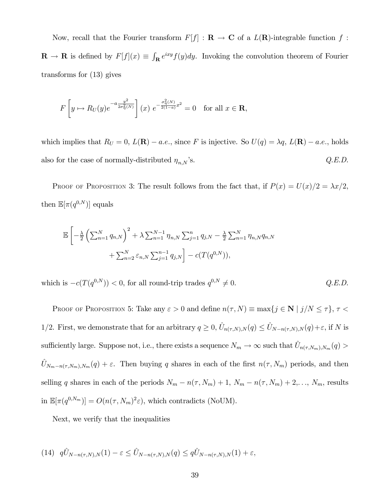Now, recall that the Fourier transform  $F[f] : \mathbf{R} \to \mathbf{C}$  of a  $L(\mathbf{R})$ -integrable function f:  $\mathbf{R} \to \mathbf{R}$  is defined by  $F[f](x) \equiv \int_{\mathbf{R}} e^{ixy} f(y) dy$ . Invoking the convolution theorem of Fourier transforms for (13) gives

$$
F\left[y \mapsto R_U(y)e^{-a\frac{y^2}{2\sigma_\eta^2(N)}}\right](x) e^{-\frac{\sigma_\eta^2(N)}{2(1-a)}x^2} = 0 \text{ for all } x \in \mathbf{R},
$$

which implies that  $R_U = 0$ ,  $L(\mathbf{R}) - a.e.$ , since F is injective. So  $U(q) = \lambda q$ ,  $L(\mathbf{R}) - a.e.$ , holds also for the case of normally-distributed  $\eta_{n,N}$ 's.  $Q.E.D.$ 

PROOF OF PROPOSITION 3: The result follows from the fact that, if  $P(x) = U(x)/2 = \lambda x/2$ , then  $\mathbb{E}[\pi(q^{0,N})]$  equals

$$
\mathbb{E}\left[-\frac{\lambda}{2}\left(\sum_{n=1}^{N}q_{n,N}\right)^{2} + \lambda \sum_{n=1}^{N-1}\eta_{n,N}\sum_{j=1}^{n}q_{j,N} - \frac{\lambda}{2}\sum_{n=1}^{N}\eta_{n,N}q_{n,N} + \sum_{n=2}^{N}\varepsilon_{n,N}\sum_{j=1}^{n-1}q_{j,N}\right] - c(T(q^{0,N})),
$$

which is  $-c(T(q^{0,N})) < 0$ , for all round-trip trades  $q^{0,N} \neq 0$ .  $Q.E.D.$ 

PROOF OF PROPOSITION 5: Take any  $\varepsilon > 0$  and define  $n(\tau, N) \equiv \max\{j \in \mathbf{N} \mid j/N \leq \tau\}, \tau <$ 1/2. First, we demonstrate that for an arbitrary  $q \ge 0$ ,  $\hat{U}_{n(\tau,N),N}(q) \le \hat{U}_{N-n(\tau,N),N}(q) + \varepsilon$ , if N is sufficiently large. Suppose not, i.e., there exists a sequence  $N_m \to \infty$  such that  $\hat{U}_{n(\tau,N_m),N_m}(q)$  $\hat{U}_{N_m-n(\tau,N_m),N_m}(q) + \varepsilon$ . Then buying q shares in each of the first  $n(\tau, N_m)$  periods, and then selling q shares in each of the periods  $N_m - n(\tau, N_m) + 1$ ,  $N_m - n(\tau, N_m) + 2, \ldots$ ,  $N_m$ , results in  $\mathbb{E}[\pi(q^{0,N_m})] = O(n(\tau, N_m)^2 \varepsilon)$ , which contradicts (NoUM).

Next, we verify that the inequalities

(14) 
$$
q\hat{U}_{N-n(\tau,N),N}(1)-\varepsilon \leq \hat{U}_{N-n(\tau,N),N}(q) \leq q\hat{U}_{N-n(\tau,N),N}(1)+\varepsilon,
$$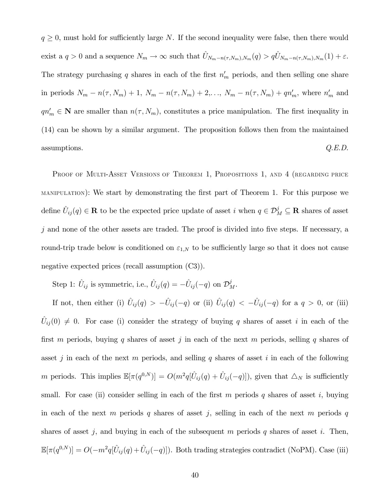$q \geq 0$ , must hold for sufficiently large N. If the second inequality were false, then there would exist a  $q > 0$  and a sequence  $N_m \to \infty$  such that  $\hat{U}_{N_m-n(\tau,N_m),N_m}(q) > q\hat{U}_{N_m-n(\tau,N_m),N_m}(1) + \varepsilon$ . The strategy purchasing q shares in each of the first  $n'_m$  periods, and then selling one share in periods  $N_m - n(\tau, N_m) + 1$ ,  $N_m - n(\tau, N_m) + 2, ..., N_m - n(\tau, N_m) + qn'_m$ , where  $n'_m$  and  $qn'_m \in \mathbb{N}$  are smaller than  $n(\tau, N_m)$ , constitutes a price manipulation. The first inequality in (14) can be shown by a similar argument. The proposition follows then from the maintained  $Q.E.D.$ 

PROOF OF MULTI-ASSET VERSIONS OF THEOREM 1, PROPOSITIONS 1, AND 4 (REGARDING PRICE MANIPULATION): We start by demonstrating the first part of Theorem 1. For this purpose we define  $\hat{U}_{ij}(q) \in \mathbf{R}$  to be the expected price update of asset i when  $q \in \mathcal{D}_{M}^{j} \subseteq \mathbf{R}$  shares of asset  $j$  and none of the other assets are traded. The proof is divided into five steps. If necessary, a round-trip trade below is conditioned on  $\varepsilon_{1,N}$  to be sufficiently large so that it does not cause negative expected prices (recall assumption (C3)).

Step 1:  $\hat{U}_{ij}$  is symmetric, i.e.,  $\hat{U}_{ij}(q) = -\hat{U}_{ij}(-q)$  on  $\mathcal{D}_M^j$ .

If not, then either (i)  $\hat{U}_{ij}(q) > -\hat{U}_{ij}(-q)$  or (ii)  $\hat{U}_{ij}(q) < -\hat{U}_{ij}(-q)$  for a  $q > 0$ , or (iii)  $\hat{U}_{ij}(0) \neq 0$ . For case (i) consider the strategy of buying q shares of asset i in each of the first m periods, buying q shares of asset j in each of the next m periods, selling q shares of asset j in each of the next m periods, and selling q shares of asset i in each of the following m periods. This implies  $\mathbb{E}[\pi(q^{0,N})] = O(m^2q[\hat{U}_{ij}(q) + \hat{U}_{ij}(-q)]),$  given that  $\Delta_N$  is sufficiently small. For case (ii) consider selling in each of the first m periods q shares of asset i, buying in each of the next m periods q shares of asset j, selling in each of the next m periods q shares of asset j, and buying in each of the subsequent m periods  $q$  shares of asset i. Then,  $\mathbb{E}[\pi(q^{0,N})] = O(-m^2q[\hat{U}_{ij}(q) + \hat{U}_{ij}(-q)])$ . Both trading strategies contradict (NoPM). Case (iii)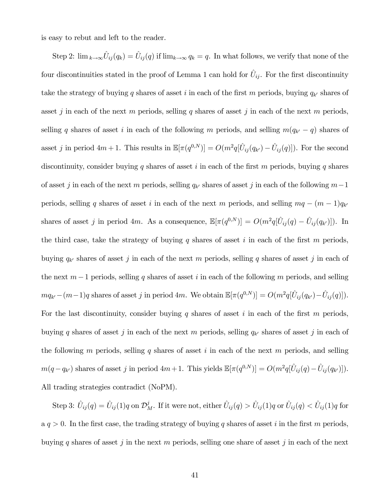is easy to rebut and left to the reader.

Step 2:  $\lim_{k\to\infty} \hat{U}_{ij}(q_k) = \hat{U}_{ij}(q)$  if  $\lim_{k\to\infty} q_k = q$ . In what follows, we verify that none of the four discontinuities stated in the proof of Lemma 1 can hold for  $\hat{U}_{ij}$ . For the first discontinuity take the strategy of buying q shares of asset i in each of the first m periods, buying  $q_{k'}$  shares of asset j in each of the next m periods, selling q shares of asset j in each of the next m periods, selling q shares of asset i in each of the following m periods, and selling  $m(q_{k'} - q)$  shares of asset j in period  $4m + 1$ . This results in  $\mathbb{E}[\pi(q^{0,N})] = O(m^2q[\hat{U}_{ij}(q_{k'}) - \hat{U}_{ij}(q)])$ . For the second discontinuity, consider buying q shares of asset i in each of the first m periods, buying q shares of asset j in each of the next m periods, selling  $q_{k'}$  shares of asset j in each of the following m-1 periods, selling q shares of asset i in each of the next m periods, and selling  $mq - (m-1)q_{k}$ shares of asset j in period 4m. As a consequence,  $\mathbb{E}[\pi(q^{0,N})] = O(m^2q[\hat{U}_{ij}(q) - \hat{U}_{ij}(q_{k'})])$ . In the third case, take the strategy of buying q shares of asset i in each of the first  $m$  periods, buying  $q_{k'}$  shares of asset j in each of the next m periods, selling q shares of asset j in each of the next  $m-1$  periods, selling q shares of asset i in each of the following m periods, and selling  $mq_{k'}-(m-1)q$  shares of asset j in period 4m. We obtain  $\mathbb{E}[\pi(q^{0,N})] = O(m^2q[\hat{U}_{ij} (q_{k'})-\hat{U}_{ij}(q)]).$ For the last discontinuity, consider buying q shares of asset i in each of the first  $m$  periods, buying q shares of asset j in each of the next m periods, selling  $q_{k'}$  shares of asset j in each of the following m periods, selling q shares of asset i in each of the next m periods, and selling  $m(q - q_{k'})$  shares of asset j in period  $4m+1$ . This yields  $\mathbb{E}[\pi(q^{0,N})] = O(m^2q[\hat{U}_{ij}(q) - \hat{U}_{ij}(q_{k'})])$ . All trading strategies contradict (NoPM).

Step 3:  $\hat{U}_{ij}(q) = \hat{U}_{ij}(1)q$  on  $\mathcal{D}^j_M$ . If it were not, either  $\hat{U}_{ij}(q) > \hat{U}_{ij}(1)q$  or  $\hat{U}_{ij}(q) < \hat{U}_{ij}(1)q$  for  $a q > 0$ . In the first case, the trading strategy of buying q shares of asset i in the first m periods, buying q shares of asset j in the next m periods, selling one share of asset j in each of the next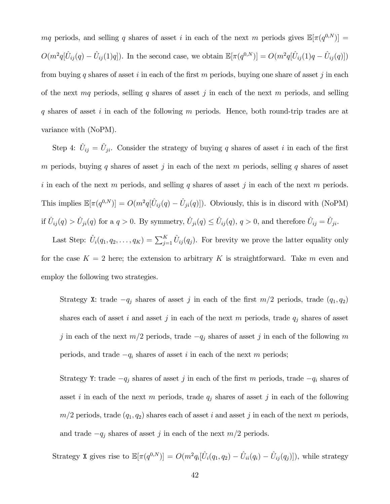mq periods, and selling q shares of asset i in each of the next m periods gives  $\mathbb{E}[\pi(q^{0,N})] =$  $O(m^2q[\hat{U}_{ij}(q) - \hat{U}_{ij}(1)q])$ . In the second case, we obtain  $\mathbb{E}[\pi(q^{0,N})] = O(m^2q[\hat{U}_{ij}(1)q - \hat{U}_{ij}(q)])$ from buying q shares of asset i in each of the first m periods, buying one share of asset j in each of the next mq periods, selling q shares of asset j in each of the next m periods, and selling q shares of asset i in each of the following m periods. Hence, both round-trip trades are at variance with (NoPM).

Step 4:  $\hat{U}_{ij} = \hat{U}_{ji}$ . Consider the strategy of buying q shares of asset i in each of the first m periods, buying q shares of asset j in each of the next m periods, selling q shares of asset i in each of the next m periods, and selling q shares of asset j in each of the next m periods. This implies  $\mathbb{E}[\pi(q^{0,N})] = O(m^2q[\hat{U}_{ij}(q) - \hat{U}_{ji}(q)])$ . Obviously, this is in discord with (NoPM) if  $\hat{U}_{ij}(q) > \hat{U}_{ji}(q)$  for a  $q > 0$ . By symmetry,  $\hat{U}_{ji}(q) \leq \hat{U}_{ij}(q)$ ,  $q > 0$ , and therefore  $\hat{U}_{ij} = \hat{U}_{ji}$ .

Last Step:  $\hat{U}_i(q_1, q_2, \ldots, q_K) = \sum_{j=1}^K \hat{U}_{ij}(q_j)$ . For brevity we prove the latter equality only for the case  $K = 2$  here; the extension to arbitrary K is straightforward. Take m even and employ the following two strategies.

Strategy X: trade  $-q_j$  shares of asset j in each of the first  $m/2$  periods, trade  $(q_1, q_2)$ shares each of asset i and asset j in each of the next m periods, trade  $q_j$  shares of asset j in each of the next  $m/2$  periods, trade  $-q_j$  shares of asset j in each of the following m periods, and trade  $-q_i$  shares of asset i in each of the next m periods;

Strategy Y: trade  $-q_j$  shares of asset j in each of the first m periods, trade  $-q_i$  shares of asset i in each of the next m periods, trade  $q_j$  shares of asset j in each of the following  $m/2$  periods, trade  $(q_1, q_2)$  shares each of asset i and asset j in each of the next m periods, and trade  $-q_j$  shares of asset j in each of the next  $m/2$  periods.

Strategy X gives rise to  $\mathbb{E}[\pi(q^{0,N})] = O(m^2 q_i [\hat{U}_i(q_1, q_2) - \hat{U}_{ii}(q_i) - \hat{U}_{ij}(q_j)]),$  while strategy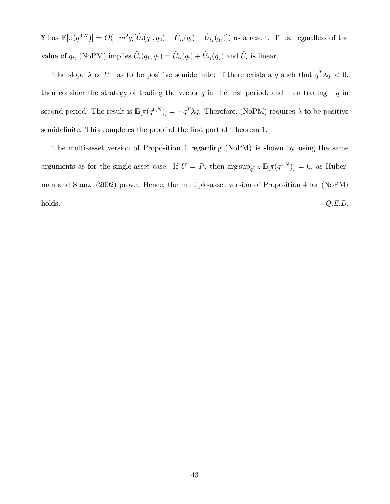Y has  $\mathbb{E}[\pi(q^{0,N})] = O(-m^2 q_i [\hat{U}_i(q_1, q_2) - \hat{U}_{ii}(q_i) - \hat{U}_{ij}(q_j)])$  as a result. Thus, regardless of the value of  $q_i$ , (NoPM) implies  $\hat{U}_i(q_1, q_2) = \hat{U}_{ii}(q_i) + \hat{U}_{ij}(q_j)$  and  $\hat{U}_i$  is linear.

The slope  $\lambda$  of U has to be positive semidefinite: if there exists a q such that  $q^T \lambda q < 0$ , then consider the strategy of trading the vector  $q$  in the first period, and then trading  $-q$  in second period. The result is  $\mathbb{E}[\pi(q^{0,N})] = -q^T \lambda q$ . Therefore, (NoPM) requires  $\lambda$  to be positive semidefinite. This completes the proof of the first part of Theorem 1.

The multi-asset version of Proposition 1 regarding (NoPM) is shown by using the same arguments as for the single-asset case. If  $U = P$ , then  $\arg \sup_{q^{0,N}} \mathbb{E}[\pi(q^{0,N})] = 0$ , as Huberman and Stanzl (2002) prove. Hence, the multiple-asset version of Proposition 4 for (NoPM)  $Q.E.D.$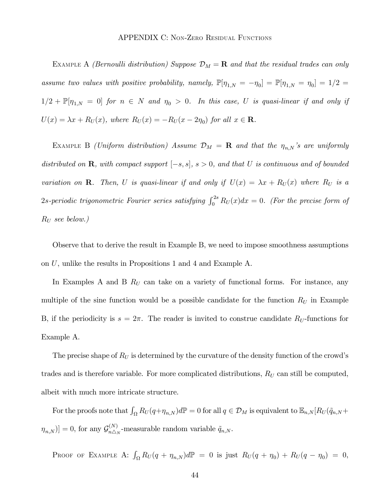EXAMPLE A (Bernoulli distribution) Suppose  $\mathcal{D}_M = \mathbf{R}$  and that the residual trades can only assume two values with positive probability, namely,  $\mathbb{P}[\eta_{1,N} = -\eta_0] = \mathbb{P}[\eta_{1,N} = \eta_0] = 1/2$  $1/2 + \mathbb{P}[\eta_{1,N} = 0]$  for  $n \in N$  and  $\eta_0 > 0$ . In this case, U is quasi-linear if and only if  $U(x) = \lambda x + R_U(x)$ , where  $R_U(x) = -R_U(x - 2\eta_0)$  for all  $x \in \mathbb{R}$ .

EXAMPLE B (Uniform distribution) Assume  $\mathcal{D}_M = \mathbf{R}$  and that the  $\eta_{n,N}$ 's are uniformly distributed on  $\mathbf R$ , with compact support  $[-s, s]$ ,  $s > 0$ , and that U is continuous and of bounded variation on **R**. Then, U is quasi-linear if and only if  $U(x) = \lambda x + R_U(x)$  where  $R_U$  is a 2s-periodic trigonometric Fourier series satisfying  $\int_0^{2s} R_U(x) dx = 0$ . (For the precise form of  $R_U$  see below.)

Observe that to derive the result in Example B, we need to impose smoothness assumptions on  $U$ , unlike the results in Propositions 1 and 4 and Example A.

In Examples A and B  $R_U$  can take on a variety of functional forms. For instance, any multiple of the sine function would be a possible candidate for the function  $R_U$  in Example B, if the periodicity is  $s = 2\pi$ . The reader is invited to construe candidate  $R_U$ -functions for Example A.

The precise shape of  $R_U$  is determined by the curvature of the density function of the crowd's trades and is therefore variable. For more complicated distributions,  $R_U$  can still be computed, albeit with much more intricate structure.

For the proofs note that  $\int_{\Omega} R_U(q+\eta_{n,N})d\mathbb{P} = 0$  for all  $q \in \mathcal{D}_M$  is equivalent to  $\mathbb{E}_{n,N}[R_U(\tilde{q}_{n,N} +$  $[\eta_{n,N})] = 0$ , for any  $\mathcal{G}_{n\triangle_N}^{(N)}$ -measurable random variable  $\tilde{q}_{n,N}$ .

PROOF OF EXAMPLE A:  $\int_{\Omega} R_U(q + \eta_{n,N}) d\mathbb{P} = 0$  is just  $R_U(q + \eta_0) + R_U(q - \eta_0) = 0$ ,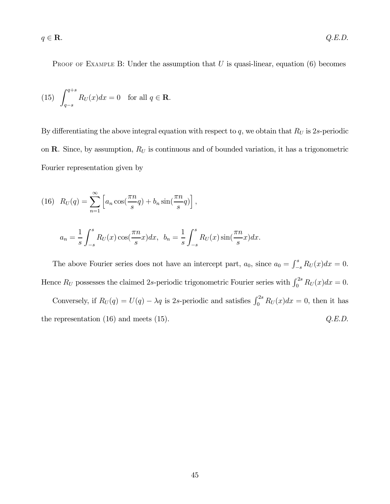PROOF OF EXAMPLE B: Under the assumption that  $U$  is quasi-linear, equation (6) becomes

(15) 
$$
\int_{q-s}^{q+s} R_U(x) dx = 0 \text{ for all } q \in \mathbf{R}.
$$

By differentiating the above integral equation with respect to  $q$ , we obtain that  $R_U$  is 2s-periodic on R. Since, by assumption,  $R_U$  is continuous and of bounded variation, it has a trigonometric Fourier representation given by

(16) 
$$
R_U(q) = \sum_{n=1}^{\infty} \left[ a_n \cos(\frac{\pi n}{s} q) + b_n \sin(\frac{\pi n}{s} q) \right],
$$
  

$$
a_n = \frac{1}{s} \int_{-s}^{s} R_U(x) \cos(\frac{\pi n}{s} x) dx, \ \ b_n = \frac{1}{s} \int_{-s}^{s} R_U(x) \sin(\frac{\pi n}{s} x) dx.
$$

The above Fourier series does not have an intercept part,  $a_0$ , since  $a_0 = \int_{-s}^{s} R_U(x) dx = 0$ . Hence  $R_U$  possesses the claimed 2s-periodic trigonometric Fourier series with  $\int_0^{2s} R_U(x)dx = 0$ .

Conversely, if  $R_U(q) = U(q) - \lambda q$  is 2s-periodic and satisfies  $\int_0^{2s} R_U(x) dx = 0$ , then it has the representation  $(16)$  and meets  $(15)$ .  $Q.E.D.$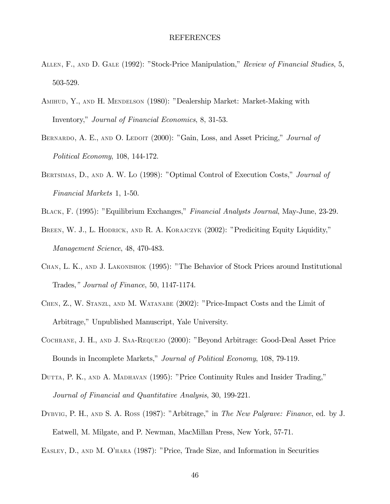#### REFERENCES

- ALLEN, F., AND D. GALE (1992): "Stock-Price Manipulation," Review of Financial Studies, 5, 503-529.
- AMIHUD, Y., AND H. MENDELSON (1980): "Dealership Market: Market-Making with Inventory," Journal of Financial Economics, 8, 31-53.
- BERNARDO, A. E., AND O. LEDOIT (2000): "Gain, Loss, and Asset Pricing," Journal of Political Economy, 108, 144-172.
- BERTSIMAS, D., AND A. W. Lo (1998): "Optimal Control of Execution Costs," Journal of Financial Markets 1, 1-50.
- BLACK, F. (1995): "Equilibrium Exchanges," Financial Analysts Journal, May-June, 23-29.
- BREEN, W. J., L. HODRICK, AND R. A. KORAJCZYK (2002): "Prediciting Equity Liquidity," Management Science, 48, 470-483.
- CHAN, L. K., AND J. LAKONISHOK (1995): "The Behavior of Stock Prices around Institutional Trades," Journal of Finance, 50, 1147-1174.
- CHEN, Z., W. STANZL, AND M. WATANABE (2002): "Price-Impact Costs and the Limit of Arbitrage," Unpublished Manuscript, Yale University.
- COCHRANE, J. H., AND J. SAA-REQUEJO (2000): "Beyond Arbitrage: Good-Deal Asset Price Bounds in Incomplete Markets," Journal of Political Economy, 108, 79-119.
- DUTTA, P. K., AND A. MADHAVAN (1995): "Price Continuity Rules and Insider Trading," Journal of Financial and Quantitative Analysis, 30, 199-221.
- DYBVIG, P. H., AND S. A. ROSS (1987): "Arbitrage," in The New Palgrave: Finance, ed. by J. Eatwell, M. Milgate, and P. Newman, MacMillan Press, New York, 57-71.
- EASLEY, D., AND M. O'HARA (1987): "Price, Trade Size, and Information in Securities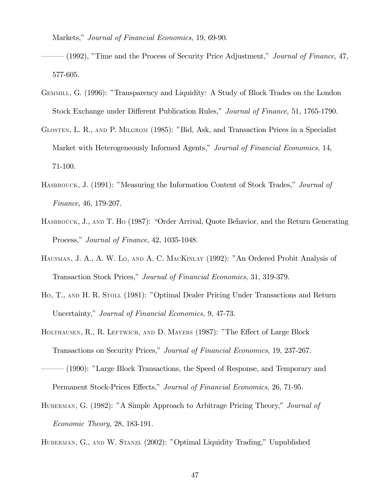Markets," Journal of Financial Economics, 19, 69-90.

 $(1992)$ , "Time and the Process of Security Price Adjustment," *Journal of Finance*, 47, 577-605.

- GEMMILL, G. (1996): "Transparency and Liquidity: A Study of Block Trades on the London Stock Exchange under Different Publication Rules," Journal of Finance, 51, 1765-1790.
- GLOSTEN, L. R., AND P. MILGROM (1985): "Bid, Ask, and Transaction Prices in a Specialist Market with Heterogeneously Informed Agents," Journal of Financial Economics, 14, 71-100.
- HASBROUCK, J. (1991): "Measuring the Information Content of Stock Trades," Journal of Finance, 46, 179-207.
- HASBROUCK, J., AND T. HO (1987): "Order Arrival, Quote Behavior, and the Return Generating Process," Journal of Finance, 42, 1035-1048.
- HAUSMAN, J. A., A. W. Lo, AND A. C. MACKINLAY (1992): "An Ordered Probit Analysis of Transaction Stock Prices," Journal of Financial Economics, 31, 319-379.
- Ho, T., AND H. R. STOLL (1981): "Optimal Dealer Pricing Under Transactions and Return Uncertainty," Journal of Financial Economics, 9, 47-73.
- HOLTHAUSEN, R., R. LEFTWICH, AND D. MAYERS (1987): "The Effect of Large Block Transactions on Security Prices," Journal of Financial Economics, 19, 237-267.
- ñññ (1990): îLarge Block Transactions, the Speed of Response, and Temporary and Permanent Stock-Prices Effects," Journal of Financial Economics, 26, 71-95.
- HUBERMAN, G. (1982): "A Simple Approach to Arbitrage Pricing Theory," Journal of Economic Theory, 28, 183-191.

HUBERMAN, G., AND W. STANZL (2002): "Optimal Liquidity Trading," Unpublished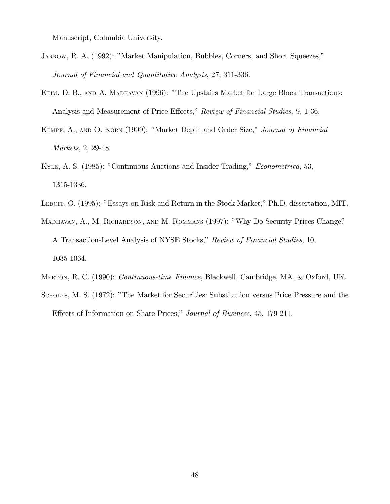Manuscript, Columbia University.

- JARROW, R. A. (1992): "Market Manipulation, Bubbles, Corners, and Short Squeezes," Journal of Financial and Quantitative Analysis, 27, 311-336.
- KEIM, D. B., AND A. MADHAVAN (1996): "The Upstairs Market for Large Block Transactions: Analysis and Measurement of Price Effects," Review of Financial Studies, 9, 1-36.
- KEMPF, A., AND O. KORN (1999): "Market Depth and Order Size," Journal of Financial Markets, 2, 29-48.
- KYLE, A. S. (1985): "Continuous Auctions and Insider Trading," *Econometrica*, 53, 1315-1336.
- LEDOIT, O. (1995): "Essays on Risk and Return in the Stock Market," Ph.D. dissertation, MIT.
- MADHAVAN, A., M. RICHARDSON, AND M. ROMMANS (1997): "Why Do Security Prices Change? A Transaction-Level Analysis of NYSE Stocks," Review of Financial Studies, 10, 1035-1064.
- MERTON, R. C. (1990): *Continuous-time Finance*, Blackwell, Cambridge, MA, & Oxford, UK.
- SCHOLES, M. S. (1972): "The Market for Securities: Substitution versus Price Pressure and the Effects of Information on Share Prices," Journal of Business, 45, 179-211.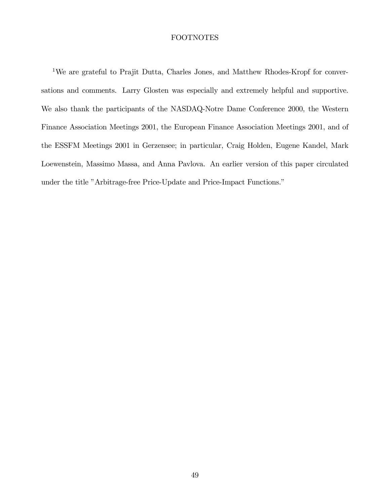# FOOTNOTES

<sup>1</sup>We are grateful to Prajit Dutta, Charles Jones, and Matthew Rhodes-Kropf for conversations and comments. Larry Glosten was especially and extremely helpful and supportive. We also thank the participants of the NASDAQ-Notre Dame Conference 2000, the Western Finance Association Meetings 2001, the European Finance Association Meetings 2001, and of the ESSFM Meetings 2001 in Gerzensee; in particular, Craig Holden, Eugene Kandel, Mark Loewenstein, Massimo Massa, and Anna Pavlova. An earlier version of this paper circulated under the title "Arbitrage-free Price-Update and Price-Impact Functions."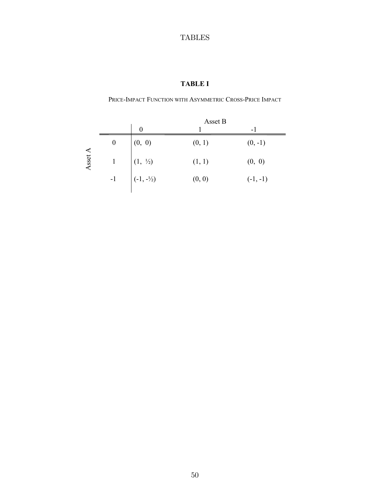# TABLES

# **TABLE I**

PRICE-IMPACT FUNCTION WITH ASYMMETRIC CROSS-PRICE IMPACT

|         |                  | Asset B              |        |            |
|---------|------------------|----------------------|--------|------------|
|         |                  | $\theta$             |        | - 1        |
|         | $\boldsymbol{0}$ | (0, 0)               | (0, 1) | $(0, -1)$  |
| Asset A |                  | $(1, \frac{1}{2})$   | (1, 1) | (0, 0)     |
|         | $-1$             | $(-1, -\frac{1}{2})$ | (0, 0) | $(-1, -1)$ |
|         |                  |                      |        |            |